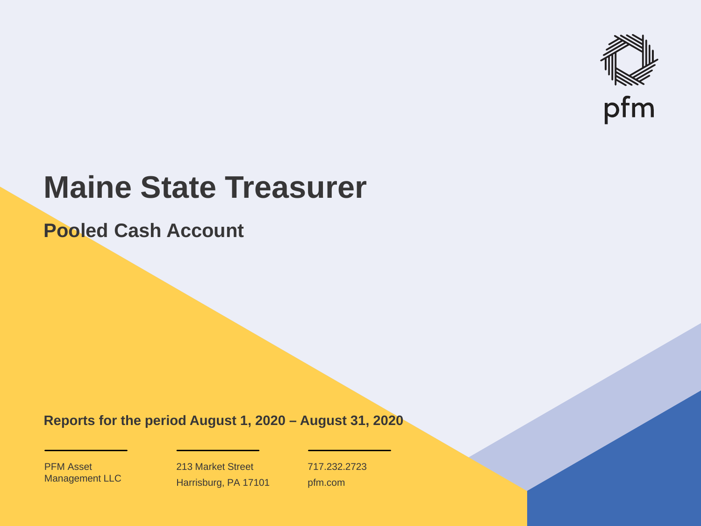

# **Maine State Treasurer**

**Pooled Cash Account**

**Reports for the period August 1, 2020 – August 31, 2020**

PFM Asset Management LLC

213 Market Street Harrisburg, PA 17101 717.232.2723 pfm.com

 $\mathcal{P}_\text{max}$  and  $\mathcal{P}_\text{max}$  is the probability of  $\mathcal{P}_\text{max}$  and  $\mathcal{P}_\text{max}$  and  $\mathcal{P}_\text{max}$  and  $\mathcal{P}_\text{max}$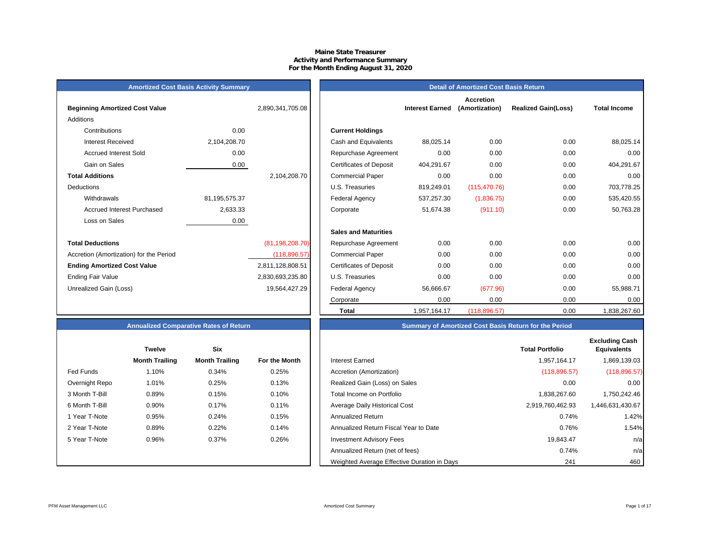# **Maine State Treasurer Activity and Performance Summary For the Month Ending August 31, 2020**

# **Amortized Cost Basis Activity Summary**<br> **Amortized Cost Basis Returnal of Amortized Cost Basis Returnal of Amortized Cost Basis Returnal of Amortized Cost Basis Retu**

| <b>Beginning Amortized Cost Value</b>   |               | 2,890,341,705.08  | <b>Interest Earned</b>                       |
|-----------------------------------------|---------------|-------------------|----------------------------------------------|
| Additions                               |               |                   |                                              |
| Contributions                           | 0.00          |                   | <b>Current Holdings</b>                      |
| <b>Interest Received</b>                | 2,104,208.70  |                   | Cash and Equivalents<br>88,025.14            |
| <b>Accrued Interest Sold</b>            | 0.00          |                   | 0.00<br>Repurchase Agreement                 |
| Gain on Sales                           | 0.00          |                   | <b>Certificates of Deposit</b><br>404,291.67 |
| <b>Total Additions</b>                  |               | 2,104,208.70      | 0.00<br><b>Commercial Paper</b>              |
| Deductions                              |               |                   | 819,249.01<br>U.S. Treasuries                |
| Withdrawals                             | 81,195,575.37 |                   | Federal Agency<br>537,257.30                 |
| Accrued Interest Purchased              | 2,633.33      |                   | 51,674.38<br>Corporate                       |
| Loss on Sales                           | 0.00          |                   |                                              |
|                                         |               |                   | <b>Sales and Maturities</b>                  |
| <b>Total Deductions</b>                 |               | (81, 198, 208.70) | 0.00<br>Repurchase Agreement                 |
| Accretion (Amortization) for the Period |               | (118, 896.57)     | 0.00<br><b>Commercial Paper</b>              |
| <b>Ending Amortized Cost Value</b>      |               | 2,811,128,808.51  | 0.00<br><b>Certificates of Deposit</b>       |
| <b>Ending Fair Value</b>                |               | 2,830,693,235.80  | 0.00<br>U.S. Treasuries                      |
| Unrealized Gain (Loss)                  |               | 19,564,427.29     | Federal Agency<br>56,666.67                  |
|                                         |               |                   |                                              |

| <b>Alliotuzed Obot Dasis Activity Califfical</b> y |               |                   |                                |                        | Detail of Afflortized Oost Dasis Retail! |                            |                     |
|----------------------------------------------------|---------------|-------------------|--------------------------------|------------------------|------------------------------------------|----------------------------|---------------------|
| <b>Beginning Amortized Cost Value</b>              |               | 2,890,341,705.08  |                                | <b>Interest Earned</b> | <b>Accretion</b><br>(Amortization)       | <b>Realized Gain(Loss)</b> | <b>Total Income</b> |
| Additions                                          |               |                   |                                |                        |                                          |                            |                     |
| Contributions                                      | 0.00          |                   | <b>Current Holdings</b>        |                        |                                          |                            |                     |
| <b>Interest Received</b>                           | 2,104,208.70  |                   | Cash and Equivalents           | 88,025.14              | 0.00                                     | 0.00                       | 88,025.14           |
| <b>Accrued Interest Sold</b>                       | 0.00          |                   | Repurchase Agreement           | 0.00                   | 0.00                                     | 0.00                       | 0.00                |
| Gain on Sales                                      | 0.00          |                   | <b>Certificates of Deposit</b> | 404,291.67             | 0.00                                     | 0.00                       | 404,291.67          |
| <b>Total Additions</b>                             |               | 2,104,208.70      | <b>Commercial Paper</b>        | 0.00                   | 0.00                                     | 0.00                       | 0.00                |
| Deductions                                         |               |                   | U.S. Treasuries                | 819,249.01             | (115, 470.76)                            | 0.00                       | 703,778.25          |
| Withdrawals                                        | 81,195,575.37 |                   | <b>Federal Agency</b>          | 537,257.30             | (1,836.75)                               | 0.00                       | 535,420.55          |
| <b>Accrued Interest Purchased</b>                  | 2,633.33      |                   | Corporate                      | 51,674.38              | (911.10)                                 | 0.00                       | 50,763.28           |
| Loss on Sales                                      | 0.00          |                   |                                |                        |                                          |                            |                     |
|                                                    |               |                   | <b>Sales and Maturities</b>    |                        |                                          |                            |                     |
| <b>Total Deductions</b>                            |               | (81, 198, 208.70) | Repurchase Agreement           | 0.00                   | 0.00                                     | 0.00                       | 0.00                |
| Accretion (Amortization) for the Period            |               | (118, 896.57)     | <b>Commercial Paper</b>        | 0.00                   | 0.00                                     | 0.00                       | 0.00                |
| <b>Ending Amortized Cost Value</b>                 |               | 2,811,128,808.51  | <b>Certificates of Deposit</b> | 0.00                   | 0.00                                     | 0.00                       | 0.00                |
| Ending Fair Value                                  |               | 2,830,693,235.80  | U.S. Treasuries                | 0.00                   | 0.00                                     | 0.00                       | 0.00                |
| Unrealized Gain (Loss)                             |               | 19,564,427.29     | Federal Agency                 | 56,666.67              | (677.96)                                 | 0.00                       | 55,988.71           |
|                                                    |               |                   | Corporate                      | 0.00                   | 0.00                                     | 0.00                       | 0.00                |
|                                                    |               |                   | <b>Total</b>                   | 1,957,164.17           | (118, 896.57)                            | 0.00                       | 1,838,267.60        |

# **Annualized Comparative Rates of Return Summary of Amortized Cost Basis Return for the Period**

|                | <b>Twelve</b>         | <b>Six</b>            |               |
|----------------|-----------------------|-----------------------|---------------|
|                | <b>Month Trailing</b> | <b>Month Trailing</b> | For the Month |
| Fed Funds      | 1.10%                 | 0.34%                 | 0.25%         |
| Overnight Repo | 1.01%                 | 0.25%                 | 0.13%         |
| 3 Month T-Bill | 0.89%                 | 0.15%                 | 0.10%         |
| 6 Month T-Bill | 0.90%                 | 0.17%                 | 0.11%         |
| 1 Year T-Note  | 0.95%                 | 0.24%                 | 0.15%         |
| 2 Year T-Note  | 0.89%                 | 0.22%                 | 0.14%         |
| 5 Year T-Note  | 0.96%                 | 0.37%                 | 0.26%         |
|                |                       |                       |               |
|                |                       |                       |               |

|                | <b>Twelve</b>         | <b>Six</b>            |               |                                             | <b>Total Portfolio</b> | <b>Excluding Cash</b><br><b>Equivalents</b> |
|----------------|-----------------------|-----------------------|---------------|---------------------------------------------|------------------------|---------------------------------------------|
|                | <b>Month Trailing</b> | <b>Month Trailing</b> | For the Month | <b>Interest Earned</b>                      | 1,957,164.17           | 1,869,139.03 <b> </b>                       |
| Fed Funds      | 1.10%                 | 0.34%                 | 0.25%         | Accretion (Amortization)                    | (118, 896.57)          | (118, 896.57)                               |
| Overnight Repo | 1.01%                 | 0.25%                 | 0.13%         | Realized Gain (Loss) on Sales               | 0.00                   | 0.00                                        |
| 3 Month T-Bill | 0.89%                 | 0.15%                 | 0.10%         | Total Income on Portfolio                   | 1,838,267.60           | 1,750,242.46                                |
| 6 Month T-Bill | 0.90%                 | 0.17%                 | 0.11%         | Average Daily Historical Cost               | 2,919,760,462.93       | 1,446,631,430.67                            |
| 1 Year T-Note  | 0.95%                 | 0.24%                 | 0.15%         | Annualized Return                           | 0.74%                  | 1.42%                                       |
| 2 Year T-Note  | 0.89%                 | 0.22%                 | 0.14%         | Annualized Return Fiscal Year to Date       | 0.76%                  | 1.54%                                       |
| 5 Year T-Note  | 0.96%                 | 0.37%                 | 0.26%         | <b>Investment Advisory Fees</b>             | 19,843.47              | n/a                                         |
|                |                       |                       |               | Annualized Return (net of fees)             | 0.74%                  | n/a                                         |
|                |                       |                       |               | Weighted Average Effective Duration in Days | 241                    | 460                                         |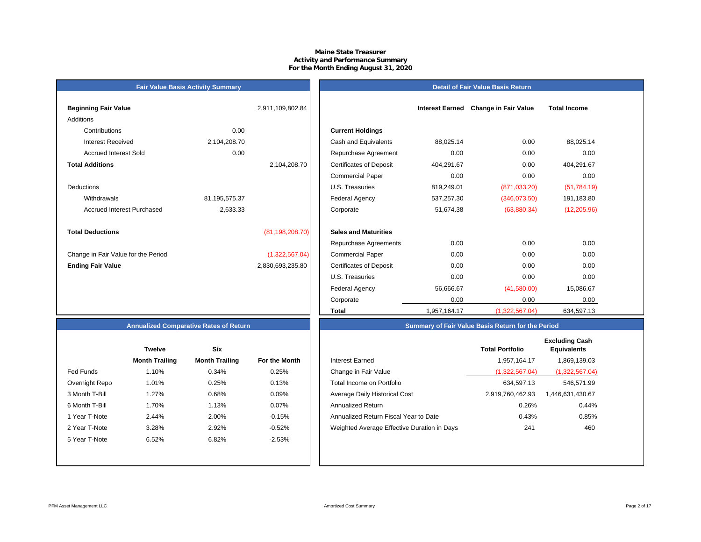# **Maine State Treasurer Activity and Performance Summary For the Month Ending August 31, 2020**

#### **Detail of Fair Value Basis Return**

| <b>Beginning Fair Value</b>         |               | 2,911,109,802.84  |                                |
|-------------------------------------|---------------|-------------------|--------------------------------|
| Additions                           |               |                   |                                |
| Contributions                       | 0.00          |                   | <b>Current Holdings</b>        |
| Interest Received                   | 2,104,208.70  |                   | Cash and Equivalents           |
| <b>Accrued Interest Sold</b>        | 0.00          |                   | Repurchase Agreeme             |
| <b>Total Additions</b>              |               | 2,104,208.70      | <b>Certificates of Deposit</b> |
|                                     |               |                   | <b>Commercial Paper</b>        |
| <b>Deductions</b>                   |               |                   | U.S. Treasuries                |
| Withdrawals                         | 81,195,575.37 |                   | <b>Federal Agency</b>          |
| Accrued Interest Purchased          | 2,633.33      |                   | Corporate                      |
|                                     |               |                   |                                |
| <b>Total Deductions</b>             |               | (81, 198, 208.70) | <b>Sales and Maturities</b>    |
|                                     |               |                   | Repurchase Agreeme             |
| Change in Fair Value for the Period |               | (1,322,567.04)    | <b>Commercial Paper</b>        |
| <b>Ending Fair Value</b>            |               | 2,830,693,235.80  | <b>Certificates of Deposit</b> |
|                                     |               |                   | $\cdots$ $\sim$ $\sim$         |

**Fair Value Basis Activity Summary**

| Beginning Fair Value                |               | 2,911,109,802.84  |                                |              | Interest Earned Change in Fair Value | <b>Total Income</b> |  |
|-------------------------------------|---------------|-------------------|--------------------------------|--------------|--------------------------------------|---------------------|--|
| Additions                           |               |                   |                                |              |                                      |                     |  |
| Contributions                       | 0.00          |                   | <b>Current Holdings</b>        |              |                                      |                     |  |
| <b>Interest Received</b>            | 2,104,208.70  |                   | Cash and Equivalents           | 88,025.14    | 0.00                                 | 88,025.14           |  |
| <b>Accrued Interest Sold</b>        | 0.00          |                   | Repurchase Agreement           | 0.00         | 0.00                                 | 0.00                |  |
| <b>Total Additions</b>              |               | 2,104,208.70      | <b>Certificates of Deposit</b> | 404,291.67   | 0.00                                 | 404,291.67          |  |
|                                     |               |                   | <b>Commercial Paper</b>        | 0.00         | 0.00                                 | 0.00                |  |
| Deductions                          |               |                   | U.S. Treasuries                | 819,249.01   | (871, 033.20)                        | (51, 784.19)        |  |
| Withdrawals                         | 81,195,575.37 |                   | Federal Agency                 | 537,257.30   | (346,073.50)                         | 191,183.80          |  |
| <b>Accrued Interest Purchased</b>   | 2,633.33      |                   | Corporate                      | 51,674.38    | (63,880.34)                          | (12, 205.96)        |  |
| <b>Total Deductions</b>             |               | (81, 198, 208.70) | <b>Sales and Maturities</b>    |              |                                      |                     |  |
|                                     |               |                   | Repurchase Agreements          | 0.00         | 0.00                                 | 0.00                |  |
| Change in Fair Value for the Period |               | (1,322,567.04)    | <b>Commercial Paper</b>        | 0.00         | 0.00                                 | 0.00                |  |
| <b>Ending Fair Value</b>            |               | 2,830,693,235.80  | <b>Certificates of Deposit</b> | 0.00         | 0.00                                 | 0.00                |  |
|                                     |               |                   | U.S. Treasuries                | 0.00         | 0.00                                 | 0.00                |  |
|                                     |               |                   | Federal Agency                 | 56,666.67    | (41,580.00)                          | 15,086.67           |  |
|                                     |               |                   | Corporate                      | 0.00         | 0.00                                 | 0.00                |  |
|                                     |               |                   | Total                          | 1,957,164.17 | (1,322,567.04)                       | 634,597.13          |  |

# **Annualized Comparative Rates of Return**

|                | <b>Twelve</b>         | Six                   |               |
|----------------|-----------------------|-----------------------|---------------|
|                | <b>Month Trailing</b> | <b>Month Trailing</b> | For the Month |
| Fed Funds      | 1.10%                 | 0.34%                 | 0.25%         |
| Overnight Repo | 1.01%                 | 0.25%                 | 0.13%         |
| 3 Month T-Bill | 1.27%                 | 0.68%                 | 0.09%         |
| 6 Month T-Bill | 1.70%                 | 1.13%                 | 0.07%         |
| 1 Year T-Note  | 2.44%                 | 2.00%                 | $-0.15%$      |
| 2 Year T-Note  | 3.28%                 | 2.92%                 | $-0.52%$      |
| 5 Year T-Note  | 6.52%                 | 6.82%                 | $-2.53%$      |
|                |                       |                       |               |
|                |                       |                       |               |

|                  | <b>Twelve</b>         | <b>Six</b>            |               |                                             | <b>Total Portfolio</b> | <b>Excluding Cash</b><br><b>Equivalents</b> |
|------------------|-----------------------|-----------------------|---------------|---------------------------------------------|------------------------|---------------------------------------------|
|                  | <b>Month Trailing</b> | <b>Month Trailing</b> | For the Month | <b>Interest Earned</b>                      | 1,957,164.17           | 1,869,139.03                                |
| <b>Fed Funds</b> | l.10%                 | 0.34%                 | 0.25%         | Change in Fair Value                        | (1,322,567.04)         | (1,322,567.04)                              |
| Overnight Repo   | 1.01%                 | 0.25%                 | 0.13%         | Total Income on Portfolio                   | 634,597.13             | 546,571.99                                  |
| 3 Month T-Bill   | .27%                  | 0.68%                 | 0.09%         | Average Daily Historical Cost               | 2,919,760,462.93       | 1,446,631,430.67                            |
| 6 Month T-Bill   | l.70%                 | 1.13%                 | 0.07%         | Annualized Return                           | 0.26%                  | 0.44%                                       |
| 1 Year T-Note    | 2.44%                 | 2.00%                 | $-0.15%$      | Annualized Return Fiscal Year to Date       | 0.43%                  | 0.85%                                       |
| 2 Year T-Note    | 3.28%                 | 2.92%                 | $-0.52%$      | Weighted Average Effective Duration in Days | 241                    | 460                                         |
| 5 Year T-Note    | 6.52%                 | 6.82%                 | $-2.53%$      |                                             |                        |                                             |

**Summary of Fair Value Basis Return for the Period**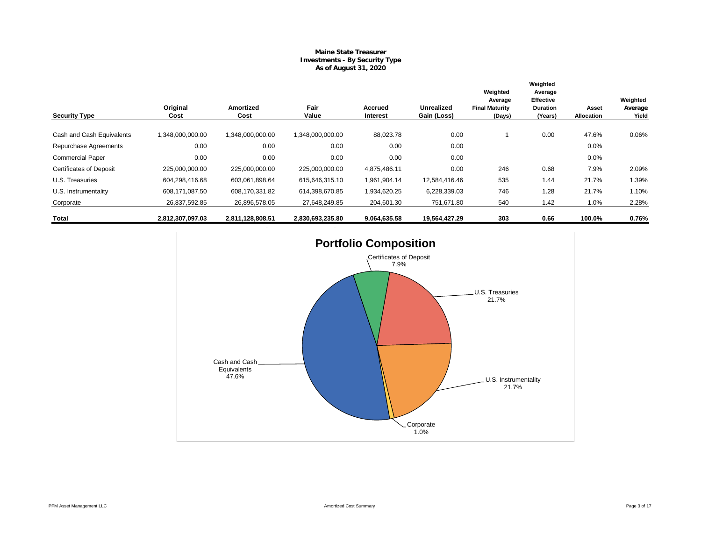# **Maine State Treasurer Investments - By Security Type As of August 31, 2020**

|                                | Original         | <b>Amortized</b> | Fair             | Accrued      | <b>Unrealized</b> | Weighted<br>Average<br><b>Final Maturity</b> | Weighted<br>Average<br><b>Effective</b><br><b>Duration</b> | Asset             | Weighted<br>Average |
|--------------------------------|------------------|------------------|------------------|--------------|-------------------|----------------------------------------------|------------------------------------------------------------|-------------------|---------------------|
| <b>Security Type</b>           | Cost             | Cost             | Value            | Interest     | Gain (Loss)       | (Days)                                       | (Years)                                                    | <b>Allocation</b> | Yield               |
| Cash and Cash Equivalents      | 1,348,000,000.00 | 1,348,000,000.00 | 1.348.000.000.00 | 88,023.78    | 0.00              |                                              | 0.00                                                       | 47.6%             | 0.06%               |
| Repurchase Agreements          | 0.00             | 0.00             | 0.00             | 0.00         | 0.00              |                                              |                                                            | 0.0%              |                     |
| <b>Commercial Paper</b>        | 0.00             | 0.00             | 0.00             | 0.00         | 0.00              |                                              |                                                            | 0.0%              |                     |
| <b>Certificates of Deposit</b> | 225,000,000.00   | 225,000,000.00   | 225,000,000.00   | 4,875,486.11 | 0.00              | 246                                          | 0.68                                                       | 7.9%              | 2.09%               |
| U.S. Treasuries                | 604,298,416.68   | 603,061,898.64   | 615,646,315.10   | 1,961,904.14 | 12,584,416.46     | 535                                          | 1.44                                                       | 21.7%             | 1.39%               |
| U.S. Instrumentality           | 608,171,087.50   | 608,170,331.82   | 614,398,670.85   | 1,934,620.25 | 6,228,339.03      | 746                                          | 1.28                                                       | 21.7%             | 1.10%               |
| Corporate                      | 26,837,592.85    | 26,896,578.05    | 27,648,249.85    | 204,601.30   | 751,671.80        | 540                                          | 1.42                                                       | 1.0%              | 2.28%               |
| Total                          | 2,812,307,097.03 | 2,811,128,808.51 | 2,830,693,235.80 | 9,064,635.58 | 19,564,427.29     | 303                                          | 0.66                                                       | 100.0%            | 0.76%               |

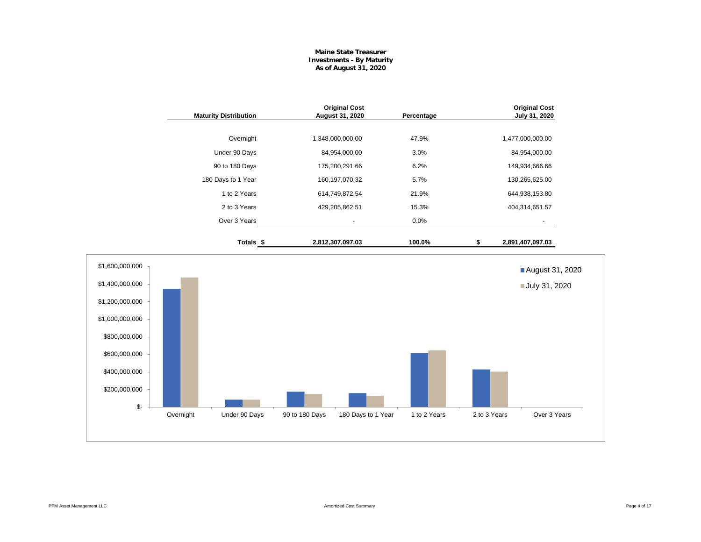# **Maine State Treasurer Investments - By Maturity As of August 31, 2020**

|                                                                                                                                                     |           | <b>Maturity Distribution</b> |                | <b>Original Cost</b><br>August 31, 2020 | Percentage   |              | <b>Original Cost</b><br>July 31, 2020 |  |
|-----------------------------------------------------------------------------------------------------------------------------------------------------|-----------|------------------------------|----------------|-----------------------------------------|--------------|--------------|---------------------------------------|--|
|                                                                                                                                                     |           | Overnight                    |                | 1,348,000,000.00                        | 47.9%        |              | 1,477,000,000.00                      |  |
|                                                                                                                                                     |           | Under 90 Days                |                | 84,954,000.00                           | 3.0%         |              | 84,954,000.00                         |  |
|                                                                                                                                                     |           | 90 to 180 Days               |                | 175,200,291.66                          | 6.2%         |              | 149,934,666.66                        |  |
|                                                                                                                                                     |           | 180 Days to 1 Year           |                | 160,197,070.32                          | 5.7%         |              | 130,265,625.00                        |  |
|                                                                                                                                                     |           | 1 to 2 Years                 |                | 614,749,872.54                          | 21.9%        |              | 644,938,153.80                        |  |
|                                                                                                                                                     |           | 2 to 3 Years                 |                | 429,205,862.51                          | 15.3%        |              | 404,314,651.57                        |  |
|                                                                                                                                                     |           | Over 3 Years                 |                | $\sim$                                  | 0.0%         |              |                                       |  |
|                                                                                                                                                     |           | Totals <sub>\$</sub>         |                | 2,812,307,097.03                        | 100.0%       | \$           | 2,891,407,097.03                      |  |
| \$1,600,000,000<br>\$1,400,000,000<br>\$1,200,000,000<br>\$1,000,000,000<br>\$800,000,000<br>\$600,000,000<br>\$400,000,000<br>\$200,000,000<br>\$- |           |                              |                |                                         |              |              | August 31, 2020<br>July 31, 2020      |  |
|                                                                                                                                                     | Overnight | Under 90 Days                | 90 to 180 Days | 180 Days to 1 Year                      | 1 to 2 Years | 2 to 3 Years | Over 3 Years                          |  |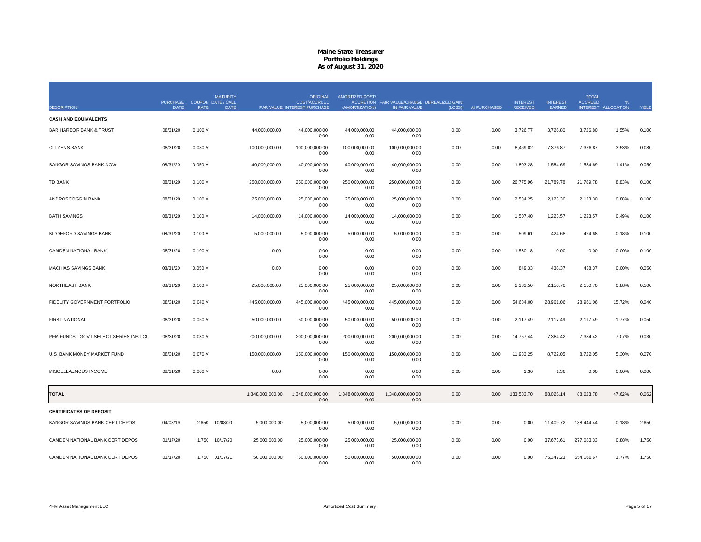| <b>DESCRIPTION</b>                     | <b>PURCHASE</b><br><b>DATE</b> | <b>COUPON DATE / CALL</b><br><b>RATE</b> | <b>MATURITY</b><br><b>DATE</b> |                  | <b>ORIGINAL</b><br>COST/ACCRUED<br>PAR VALUE INTEREST PURCHASE | AMORTIZED COST/<br>(AMORTIZATION) | ACCRETION FAIR VALUE/CHANGE UNREALIZED GAIN<br>IN FAIR VALUE | (LOSS) | AI PURCHASED | <b>INTEREST</b><br><b>RECEIVED</b> | <b>INTEREST</b><br>EARNED | <b>TOTAL</b><br><b>ACCRUED</b> | INTEREST ALLOCATION | YIELD |
|----------------------------------------|--------------------------------|------------------------------------------|--------------------------------|------------------|----------------------------------------------------------------|-----------------------------------|--------------------------------------------------------------|--------|--------------|------------------------------------|---------------------------|--------------------------------|---------------------|-------|
| <b>CASH AND EQUIVALENTS</b>            |                                |                                          |                                |                  |                                                                |                                   |                                                              |        |              |                                    |                           |                                |                     |       |
| <b>BAR HARBOR BANK &amp; TRUST</b>     | 08/31/20                       | 0.100V                                   |                                | 44,000,000.00    | 44,000,000.00<br>0.00                                          | 44,000,000.00<br>0.00             | 44,000,000.00<br>0.00                                        | 0.00   | 0.00         | 3,726.77                           | 3,726.80                  | 3,726.80                       | 1.55%               | 0.100 |
| <b>CITIZENS BANK</b>                   | 08/31/20                       | 0.080V                                   |                                | 100,000,000.00   | 100,000,000.00<br>0.00                                         | 100,000,000.00<br>0.00            | 100,000,000.00<br>0.00                                       | 0.00   | 0.00         | 8,469.82                           | 7,376.87                  | 7,376.87                       | 3.53%               | 0.080 |
| <b>BANGOR SAVINGS BANK NOW</b>         | 08/31/20                       | 0.050V                                   |                                | 40,000,000.00    | 40,000,000.00<br>0.00                                          | 40,000,000.00<br>0.00             | 40,000,000.00<br>0.00                                        | 0.00   | 0.00         | 1,803.28                           | 1,584.69                  | 1,584.69                       | 1.41%               | 0.050 |
| <b>TD BANK</b>                         | 08/31/20                       | 0.100V                                   |                                | 250,000,000.00   | 250,000,000.00<br>0.00                                         | 250,000,000.00<br>0.00            | 250,000,000.00<br>0.00                                       | 0.00   | 0.00         | 26,775.96                          | 21,789.78                 | 21,789.78                      | 8.83%               | 0.100 |
| ANDROSCOGGIN BANK                      | 08/31/20                       | 0.100V                                   |                                | 25,000,000.00    | 25,000,000.00<br>0.00                                          | 25,000,000.00<br>0.00             | 25,000,000.00<br>0.00                                        | 0.00   | 0.00         | 2,534.25                           | 2,123.30                  | 2,123.30                       | 0.88%               | 0.100 |
| <b>BATH SAVINGS</b>                    | 08/31/20                       | 0.100V                                   |                                | 14,000,000.00    | 14,000,000.00<br>0.00                                          | 14,000,000.00<br>0.00             | 14,000,000.00<br>0.00                                        | 0.00   | 0.00         | 1,507.40                           | 1,223.57                  | 1,223.57                       | 0.49%               | 0.100 |
| <b>BIDDEFORD SAVINGS BANK</b>          | 08/31/20                       | 0.100V                                   |                                | 5,000,000.00     | 5,000,000.00<br>0.00                                           | 5,000,000.00<br>0.00              | 5,000,000.00<br>0.00                                         | 0.00   | 0.00         | 509.61                             | 424.68                    | 424.68                         | 0.18%               | 0.100 |
| CAMDEN NATIONAL BANK                   | 08/31/20                       | 0.100V                                   |                                | 0.00             | 0.00<br>0.00                                                   | 0.00<br>0.00                      | 0.00<br>0.00                                                 | 0.00   | 0.00         | 1,530.18                           | 0.00                      | 0.00                           | 0.00%               | 0.100 |
| <b>MACHIAS SAVINGS BANK</b>            | 08/31/20                       | 0.050V                                   |                                | 0.00             | 0.00<br>0.00                                                   | 0.00<br>0.00                      | 0.00<br>0.00                                                 | 0.00   | 0.00         | 849.33                             | 438.37                    | 438.37                         | 0.00%               | 0.050 |
| NORTHEAST BANK                         | 08/31/20                       | 0.100V                                   |                                | 25,000,000.00    | 25,000,000.00<br>0.00                                          | 25,000,000.00<br>0.00             | 25,000,000.00<br>0.00                                        | 0.00   | 0.00         | 2,383.56                           | 2,150.70                  | 2,150.70                       | 0.88%               | 0.100 |
| FIDELITY GOVERNMENT PORTFOLIO          | 08/31/20                       | 0.040V                                   |                                | 445,000,000.00   | 445,000,000.00<br>0.00                                         | 445,000,000.00<br>0.00            | 445,000,000.00<br>0.00                                       | 0.00   | 0.00         | 54,684.00                          | 28,961.06                 | 28,961.06                      | 15.72%              | 0.040 |
| <b>FIRST NATIONAL</b>                  | 08/31/20                       | 0.050V                                   |                                | 50,000,000.00    | 50,000,000.00<br>0.00                                          | 50,000,000.00<br>0.00             | 50,000,000.00<br>0.00                                        | 0.00   | 0.00         | 2,117.49                           | 2,117.49                  | 2,117.49                       | 1.77%               | 0.050 |
| PFM FUNDS - GOVT SELECT SERIES INST CL | 08/31/20                       | 0.030V                                   |                                | 200,000,000.00   | 200,000,000.00<br>0.00                                         | 200,000,000.00<br>0.00            | 200,000,000.00<br>0.00                                       | 0.00   | 0.00         | 14,757.44                          | 7,384.42                  | 7,384.42                       | 7.07%               | 0.030 |
| U.S. BANK MONEY MARKET FUND            | 08/31/20                       | 0.070 V                                  |                                | 150,000,000.00   | 150,000,000.00<br>0.00                                         | 150,000,000.00<br>0.00            | 150,000,000.00<br>0.00                                       | 0.00   | 0.00         | 11,933.25                          | 8,722.05                  | 8,722.05                       | 5.30%               | 0.070 |
| MISCELLAENOUS INCOME                   | 08/31/20                       | 0.000V                                   |                                | 0.00             | 0.00<br>0.00                                                   | 0.00<br>0.00                      | 0.00<br>0.00                                                 | 0.00   | 0.00         | 1.36                               | 1.36                      | 0.00                           | 0.00%               | 0.000 |
| <b>TOTAL</b>                           |                                |                                          |                                | 1,348,000,000.00 | 1,348,000,000.00<br>0.00                                       | 1,348,000,000.00<br>0.00          | 1,348,000,000.00<br>0.00                                     | 0.00   | 0.00         | 133,583.70                         | 88,025.14                 | 88,023.78                      | 47.62%              | 0.062 |
| <b>CERTIFICATES OF DEPOSIT</b>         |                                |                                          |                                |                  |                                                                |                                   |                                                              |        |              |                                    |                           |                                |                     |       |
| BANGOR SAVINGS BANK CERT DEPOS         | 04/08/19                       | 2.650                                    | 10/08/20                       | 5,000,000.00     | 5,000,000.00<br>0.00                                           | 5,000,000.00<br>0.00              | 5,000,000.00<br>0.00                                         | 0.00   | 0.00         | 0.00                               | 11,409.72                 | 188,444.44                     | 0.18%               | 2.650 |
| CAMDEN NATIONAL BANK CERT DEPOS        | 01/17/20                       | 1.750                                    | 10/17/20                       | 25,000,000.00    | 25,000,000.00<br>0.00                                          | 25,000,000.00<br>0.00             | 25,000,000.00<br>0.00                                        | 0.00   | 0.00         | 0.00                               | 37,673.61                 | 277,083.33                     | 0.88%               | 1.750 |
| CAMDEN NATIONAL BANK CERT DEPOS        | 01/17/20                       |                                          | 1.750 01/17/21                 | 50,000,000.00    | 50,000,000.00<br>0.00                                          | 50,000,000.00<br>0.00             | 50,000,000.00<br>0.00                                        | 0.00   | 0.00         | 0.00                               | 75,347.23                 | 554,166.67                     | 1.77%               | 1.750 |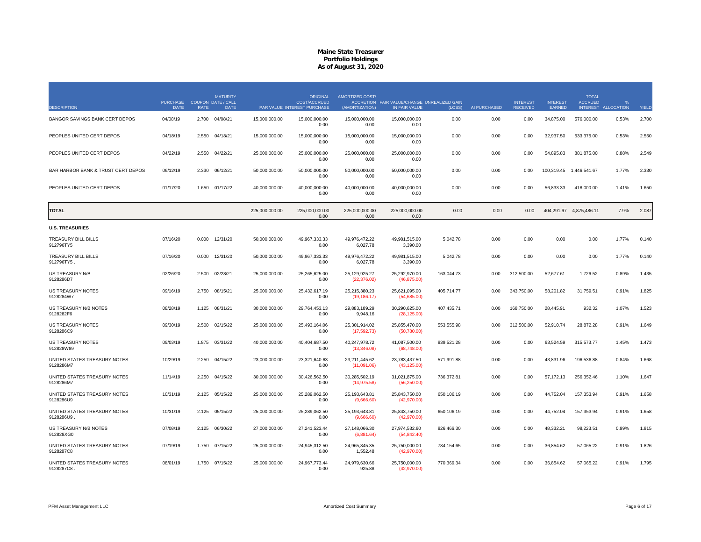| <b>DESCRIPTION</b>                        | <b>PURCHASE</b><br><b>DATE</b> | <b>RATE</b> | <b>MATURITY</b><br><b>COUPON DATE / CALL</b><br><b>DATE</b> |                | <b>ORIGINAL</b><br><b>COST/ACCRUED</b><br>PAR VALUE INTEREST PURCHASE | AMORTIZED COST/<br>(AMORTIZATION) | ACCRETION FAIR VALUE/CHANGE UNREALIZED GAIN<br>IN FAIR VALUE | (LOSS)     | AI PURCHASED | <b>INTEREST</b><br><b>RECEIVED</b> | <b>INTEREST</b><br>EARNED | <b>TOTAL</b><br><b>ACCRUED</b> | INTEREST ALLOCATION | YIELD |
|-------------------------------------------|--------------------------------|-------------|-------------------------------------------------------------|----------------|-----------------------------------------------------------------------|-----------------------------------|--------------------------------------------------------------|------------|--------------|------------------------------------|---------------------------|--------------------------------|---------------------|-------|
| BANGOR SAVINGS BANK CERT DEPOS            | 04/08/19                       | 2.700       | 04/08/21                                                    | 15,000,000.00  | 15,000,000.00<br>0.00                                                 | 15,000,000.00<br>0.00             | 15,000,000.00<br>0.00                                        | 0.00       | 0.00         | 0.00                               | 34,875.00                 | 576,000.00                     | 0.53%               | 2.700 |
| PEOPLES UNITED CERT DEPOS                 | 04/18/19                       | 2.550       | 04/18/21                                                    | 15,000,000.00  | 15,000,000.00<br>0.00                                                 | 15,000,000.00<br>0.00             | 15,000,000.00<br>0.00                                        | 0.00       | 0.00         | 0.00                               | 32,937.50                 | 533,375.00                     | 0.53%               | 2.550 |
| PEOPLES UNITED CERT DEPOS                 | 04/22/19                       | 2.550       | 04/22/21                                                    | 25,000,000.00  | 25,000,000.00<br>0.00                                                 | 25,000,000.00<br>0.00             | 25,000,000.00<br>0.00                                        | 0.00       | 0.00         | 0.00                               | 54,895.83                 | 881,875.00                     | 0.88%               | 2.549 |
| BAR HARBOR BANK & TRUST CERT DEPOS        | 06/12/19                       | 2.330       | 06/12/21                                                    | 50.000.000.00  | 50.000.000.00<br>0.00                                                 | 50.000.000.00<br>0.00             | 50.000.000.00<br>0.00                                        | 0.00       | 0.00         | 0.00                               | 100.319.45                | 1.446.541.67                   | 1.77%               | 2.330 |
| PEOPLES UNITED CERT DEPOS                 | 01/17/20                       | 1.650       | 01/17/22                                                    | 40,000,000.00  | 40,000,000.00<br>0.00                                                 | 40,000,000.00<br>0.00             | 40,000,000.00<br>0.00                                        | 0.00       | 0.00         | 0.00                               | 56,833.33                 | 418,000.00                     | 1.41%               | 1.650 |
| <b>TOTAL</b>                              |                                |             |                                                             | 225,000,000.00 | 225.000.000.00<br>0.00                                                | 225,000,000,00<br>0.00            | 225.000.000.00<br>0.00                                       | 0.00       | 0.00         | 0.00                               |                           | 404,291.67 4,875,486.11        | 7.9%                | 2.087 |
| <b>U.S. TREASURIES</b>                    |                                |             |                                                             |                |                                                                       |                                   |                                                              |            |              |                                    |                           |                                |                     |       |
| TREASURY BILL BILLS<br>912796TY5          | 07/16/20                       | 0.000       | 12/31/20                                                    | 50,000,000.00  | 49,967,333.33<br>0.00                                                 | 49,976,472.22<br>6,027.78         | 49,981,515.00<br>3,390.00                                    | 5,042.78   | 0.00         | 0.00                               | 0.00                      | 0.00                           | 1.77%               | 0.140 |
| TREASURY BILL BILLS<br>912796TY5.         | 07/16/20                       | 0.000       | 12/31/20                                                    | 50,000,000.00  | 49,967,333.33<br>0.00                                                 | 49,976,472.22<br>6,027.78         | 49,981,515.00<br>3,390.00                                    | 5,042.78   | 0.00         | 0.00                               | 0.00                      | 0.00                           | 1.77%               | 0.140 |
| <b>US TREASURY N/B</b><br>9128286D7       | 02/26/20                       | 2.500       | 02/28/21                                                    | 25,000,000.00  | 25,265,625.00<br>0.00                                                 | 25,129,925.27<br>(22, 376.02)     | 25,292,970.00<br>(46, 875.00)                                | 163,044.73 | 0.00         | 312,500.00                         | 52,677.61                 | 1,726.52                       | 0.89%               | 1.435 |
| <b>US TREASURY NOTES</b><br>9128284W7     | 09/16/19                       | 2.750       | 08/15/21                                                    | 25,000,000.00  | 25.432.617.19<br>0.00                                                 | 25,215,380.23<br>(19, 186.17)     | 25,621,095.00<br>(54,685.00)                                 | 405,714.77 | 0.00         | 343,750.00                         | 58,201.82                 | 31,759.51                      | 0.91%               | 1.825 |
| US TREASURY N/B NOTES<br>9128282F6        | 08/28/19                       | 1.125       | 08/31/21                                                    | 30,000,000.00  | 29,764,453.13<br>0.00                                                 | 29,883,189.29<br>9,948.16         | 30,290,625.00<br>(28, 125.00)                                | 407,435.71 | 0.00         | 168,750.00                         | 28,445.91                 | 932.32                         | 1.07%               | 1.523 |
| <b>US TREASURY NOTES</b><br>9128286C9     | 09/30/19                       | 2.500       | 02/15/22                                                    | 25,000,000.00  | 25,493,164.06<br>0.00                                                 | 25,301,914.02<br>(17,592.73)      | 25,855,470.00<br>(50,780.00)                                 | 553,555.98 | 0.00         | 312,500.00                         | 52,910.74                 | 28,872.28                      | 0.91%               | 1.649 |
| US TREASURY NOTES<br>912828W89            | 09/03/19                       | 1.875       | 03/31/22                                                    | 40,000,000.00  | 40,404,687.50<br>0.00                                                 | 40,247,978.72<br>(13,346.08)      | 41,087,500.00<br>(68,748.00)                                 | 839,521.28 | 0.00         | 0.00                               | 63,524.59                 | 315,573.77                     | 1.45%               | 1.473 |
| UNITED STATES TREASURY NOTES<br>9128286M7 | 10/29/19                       | 2.250       | 04/15/22                                                    | 23,000,000.00  | 23,321,640.63<br>0.00                                                 | 23,211,445.62<br>(11,091.06)      | 23,783,437.50<br>(43, 125.00)                                | 571,991.88 | 0.00         | 0.00                               | 43,831.96                 | 196,536.88                     | 0.84%               | 1.668 |
| UNITED STATES TREASURY NOTES<br>9128286M7 | 11/14/19                       | 2.250       | 04/15/22                                                    | 30,000,000.00  | 30,426,562.50<br>0.00                                                 | 30,285,502.19<br>(14, 975.58)     | 31,021,875.00<br>(56, 250.00)                                | 736,372.81 | 0.00         | 0.00                               | 57, 172. 13               | 256,352.46                     | 1.10%               | 1.647 |
| UNITED STATES TREASURY NOTES<br>9128286U9 | 10/31/19                       | 2.125       | 05/15/22                                                    | 25,000,000.00  | 25,289,062.50<br>0.00                                                 | 25,193,643.81<br>(9,666.60)       | 25,843,750.00<br>(42,970.00)                                 | 650,106.19 | 0.00         | 0.00                               | 44,752.04                 | 157,353.94                     | 0.91%               | 1.658 |
| UNITED STATES TREASURY NOTES<br>9128286U9 | 10/31/19                       |             | 2.125 05/15/22                                              | 25,000,000.00  | 25,289,062.50<br>0.00                                                 | 25,193,643.81<br>(9,666.60)       | 25,843,750.00<br>(42,970.00)                                 | 650,106.19 | 0.00         | 0.00                               | 44,752.04                 | 157,353.94                     | 0.91%               | 1.658 |
| US TREASURY N/B NOTES<br>912828XG0        | 07/08/19                       | 2.125       | 06/30/22                                                    | 27,000,000.00  | 27,241,523.44<br>0.00                                                 | 27,148,066.30<br>(6,881.64)       | 27,974,532.60<br>(54, 842.40)                                | 826,466.30 | 0.00         | 0.00                               | 48,332.21                 | 98,223.51                      | 0.99%               | 1.815 |
| UNITED STATES TREASURY NOTES<br>9128287C8 | 07/19/19                       |             | 1.750 07/15/22                                              | 25,000,000.00  | 24,945,312.50<br>0.00                                                 | 24,965,845.35<br>1,552.48         | 25,750,000.00<br>(42,970.00)                                 | 784,154.65 | 0.00         | 0.00                               | 36,854.62                 | 57,065.22                      | 0.91%               | 1.826 |
| UNITED STATES TREASURY NOTES<br>9128287C8 | 08/01/19                       | 1.750       | 07/15/22                                                    | 25,000,000.00  | 24,967,773.44<br>0.00                                                 | 24,979,630.66<br>925.88           | 25,750,000.00<br>(42, 970.00)                                | 770,369.34 | 0.00         | 0.00                               | 36,854.62                 | 57,065.22                      | 0.91%               | 1.795 |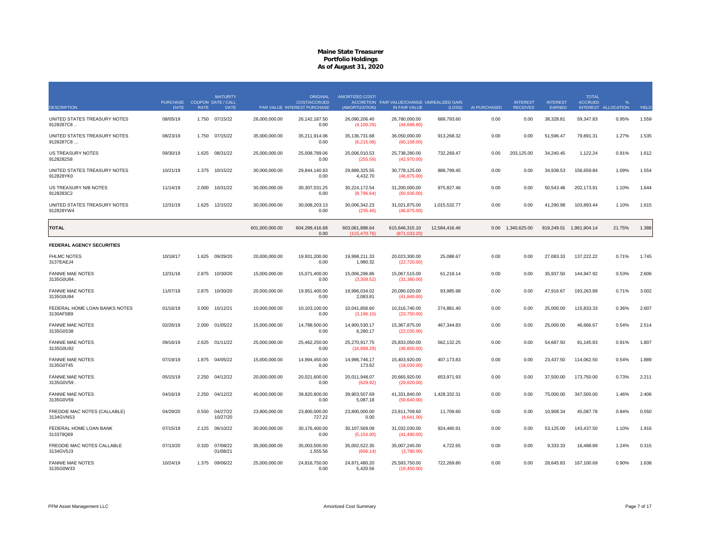|                                            | <b>PURCHASE</b> |             | <b>MATURITY</b><br><b>COUPON DATE / CALL</b> |                | <b>ORIGINAL</b><br><b>COST/ACCRUED</b> | AMORTIZED COST/                 | ACCRETION FAIR VALUE/CHANGE UNREALIZED GAIN |               |              | <b>INTEREST</b>   | <b>INTEREST</b> | <b>TOTAL</b><br><b>ACCRUED</b> |                   |       |
|--------------------------------------------|-----------------|-------------|----------------------------------------------|----------------|----------------------------------------|---------------------------------|---------------------------------------------|---------------|--------------|-------------------|-----------------|--------------------------------|-------------------|-------|
| <b>DESCRIPTION</b>                         | <b>DATE</b>     | <b>RATE</b> | <b>DATE</b>                                  |                | PAR VALUE INTEREST PURCHASE            | (AMORTIZATION)                  | IN FAIR VALUE                               | (LOSS)        | AI PURCHASED | <b>RECEIVED</b>   | EARNED          | <b>INTEREST</b>                | <b>ALLOCATION</b> | YIELD |
| UNITED STATES TREASURY NOTES<br>9128287C8  | 08/05/19        |             | 1.750 07/15/22                               | 26,000,000.00  | 26, 142, 187.50<br>0.00                | 26,090,206.40<br>(4, 100.29)    | 26,780,000.00<br>(44,688.80)                | 689,793.60    | 0.00         | 0.00              | 38,328.81       | 59,347.83                      | 0.95%             | 1.559 |
| UNITED STATES TREASURY NOTES<br>9128287C8  | 08/23/19        | 1.750       | 07/15/22                                     | 35,000,000.00  | 35,211,914.06<br>0.00                  | 35, 136, 731.68<br>(6, 215.08)  | 36,050,000.00<br>(60, 158.00)               | 913,268.32    | 0.00         | 0.00              | 51,596.47       | 79,891.31                      | 1.27%             | 1.535 |
| <b>US TREASURY NOTES</b><br>9128282S8      | 09/30/19        | 1.625       | 08/31/22                                     | 25.000.000.00  | 25.008.789.06<br>0.00                  | 25.006.010.53<br>(255.59)       | 25.738.280.00<br>(42, 970.00)               | 732.269.47    | 0.00         | 203.125.00        | 34.240.45       | 1.122.24                       | 0.91%             | 1.612 |
| UNITED STATES TREASURY NOTES<br>912828YK0  | 10/21/19        | 1.375       | 10/15/22                                     | 30,000,000.00  | 29,844,140.63<br>0.00                  | 29,889,325.55<br>4,432.70       | 30,778,125.00<br>(46, 875.00)               | 888,799.45    | 0.00         | 0.00              | 34,938.53       | 156,659.84                     | 1.09%             | 1.554 |
| US TREASURY N/B NOTES<br>9128283C2         | 11/14/19        | 2.000       | 10/31/22                                     | 30,000,000.00  | 30, 307, 031.25<br>0.00                | 30,224,172.54<br>(8,796.64)     | 31,200,000.00<br>(60, 936.00)               | 975,827.46    | 0.00         | 0.00              | 50,543.48       | 202,173.91                     | 1.10%             | 1.644 |
| UNITED STATES TREASURY NOTES<br>912828YW4  | 12/31/19        | 1.625       | 12/15/22                                     | 30,000,000.00  | 30,008,203.13<br>0.00                  | 30,006,342.23<br>(235.46)       | 31,021,875.00<br>(46, 875.00)               | 1,015,532.77  | 0.00         | 0.00              | 41,290.98       | 103,893.44                     | 1.10%             | 1.615 |
| TOTAL                                      |                 |             |                                              | 601,000,000.00 | 604,298,416.68<br>0.00                 | 603,061,898.64<br>(115, 470.76) | 615,646,315.10<br>(871.033.20)              | 12,584,416.46 |              | 0.00 1,340,625.00 |                 | 819,249.01 1,961,904.14        | 21.75%            | 1.388 |
| <b>FEDERAL AGENCY SECURITIES</b>           |                 |             |                                              |                |                                        |                                 |                                             |               |              |                   |                 |                                |                   |       |
| <b>FHLMC NOTES</b><br>3137EAEJ4            | 10/18/17        |             | 1.625 09/29/20                               | 20,000,000.00  | 19,931,200.00<br>0.00                  | 19,998,211.33<br>1,980.32       | 20,023,300.00<br>(22, 720.00)               | 25,088.67     | 0.00         | 0.00              | 27,083.33       | 137,222.22                     | 0.71%             | 1.745 |
| <b>FANNIE MAE NOTES</b><br>3135G0U84.      | 12/31/18        | 2.875       | 10/30/20                                     | 15,000,000.00  | 15,071,400.00<br>0.00                  | 15,006,296.86<br>(3,308.52)     | 15,067,515.00<br>(31,380.00)                | 61,218.14     | 0.00         | 0.00              | 35,937.50       | 144,947.92                     | 0.53%             | 2.606 |
| <b>FANNIE MAE NOTES</b><br>3135G0U84       | 11/07/18        | 2.875       | 10/30/20                                     | 20,000,000.00  | 19.951.400.00<br>0.00                  | 19.996.034.02<br>2,083.81       | 20,090,020.00<br>(41, 840.00)               | 93,985.98     | 0.00         | 0.00              | 47,916.67       | 193,263.89                     | 0.71%             | 3.002 |
| FEDERAL HOME LOAN BANKS NOTES<br>3130AF5B9 | 01/16/19        | 3.000       | 10/12/21                                     | 10,000,000.00  | 10,103,100.00<br>0.00                  | 10,041,858.60<br>(3, 196.10)    | 10,316,740.00<br>(23,750.00)                | 274,881.40    | 0.00         | 0.00              | 25,000.00       | 115,833.33                     | 0.36%             | 2.607 |
| <b>FANNIE MAE NOTES</b><br>3135G0S38       | 02/26/19        | 2.000       | 01/05/22                                     | 15,000,000.00  | 14,788,500.00<br>0.00                  | 14,900,530.17<br>6,280.17       | 15,367,875.00<br>(22,035.00)                | 467,344.83    | 0.00         | 0.00              | 25,000,00       | 46.666.67                      | 0.54%             | 2.514 |
| <b>FANNIE MAE NOTES</b><br>3135G0U92       | 09/16/19        | 2.625       | 01/11/22                                     | 25,000,000.00  | 25,462,250.00<br>0.00                  | 25,270,917.75<br>(16,898.29)    | 25,833,050.00<br>(48, 850.00)               | 562,132.25    | 0.00         | 0.00              | 54,687.50       | 91,145.83                      | 0.91%             | 1.807 |
| <b>FANNIE MAE NOTES</b><br>3135G0T45       | 07/19/19        |             | 1.875 04/05/22                               | 15,000,000.00  | 14,994,450.00<br>0.00                  | 14.996.746.17<br>173.62         | 15,403,920.00<br>(18,030.00)                | 407,173.83    | 0.00         | 0.00              | 23,437.50       | 114,062.50                     | 0.54%             | 1.889 |
| <b>FANNIE MAE NOTES</b><br>3135G0V59       | 05/15/19        | 2.250       | 04/12/22                                     | 20,000,000.00  | 20,021,600.00<br>0.00                  | 20,011,948.07<br>(629.92)       | 20,665,920.00<br>(29,820.00)                | 653,971.93    | 0.00         | 0.00              | 37,500.00       | 173,750.00                     | 0.73%             | 2.211 |
| <b>FANNIE MAE NOTES</b><br>3135G0V59       | 04/16/19        | 2.250       | 04/12/22                                     | 40,000,000.00  | 39,820,800.00<br>0.00                  | 39,903,507.69<br>5,087.18       | 41,331,840.00<br>(59,640.00)                | 1,428,332.31  | 0.00         | 0.00              | 75,000.00       | 347,500.00                     | 1.46%             | 2.406 |
| FREDDIE MAC NOTES (CALLABLE)<br>3134GVNS3  | 04/29/20        | 0.550       | 04/27/22<br>10/27/20                         | 23,800,000.00  | 23,800,000.00<br>727.22                | 23,800,000.00<br>0.00           | 23,811,709.60<br>(4,641.00)                 | 11,709.60     | 0.00         | 0.00              | 10,908.34       | 45,087.78                      | 0.84%             | 0.550 |
| FEDERAL HOME LOAN BANK<br>313379Q69        | 07/15/19        | 2.125       | 06/10/22                                     | 30,000,000.00  | 30,176,400.00<br>0.00                  | 30,107,569.09<br>(5, 154.00)    | 31,032,030.00<br>(41, 490.00)               | 924,460.91    | 0.00         | 0.00              | 53,125.00       | 143,437.50                     | 1.10%             | 1.916 |
| FREDDIE MAC NOTES CALLABLE<br>3134GV5J3    | 07/13/20        | 0.320       | 07/08/22<br>01/08/21                         | 35,000,000.00  | 35,003,500.00<br>1,555.56              | 35,002,522.35<br>(606.14)       | 35,007,245.00<br>(3,780.00)                 | 4,722.65      | 0.00         | 0.00              | 9,333.33        | 16,488.89                      | 1.24%             | 0.315 |
| <b>FANNIE MAE NOTES</b><br>3135G0W33       | 10/24/19        |             | 1.375 09/06/22                               | 25,000,000.00  | 24,816,750.00<br>0.00                  | 24,871,480.20<br>5,420.56       | 25,593,750.00<br>(19.450.00)                | 722,269.80    | 0.00         | 0.00              | 28,645.83       | 167,100.69                     | 0.90%             | 1.638 |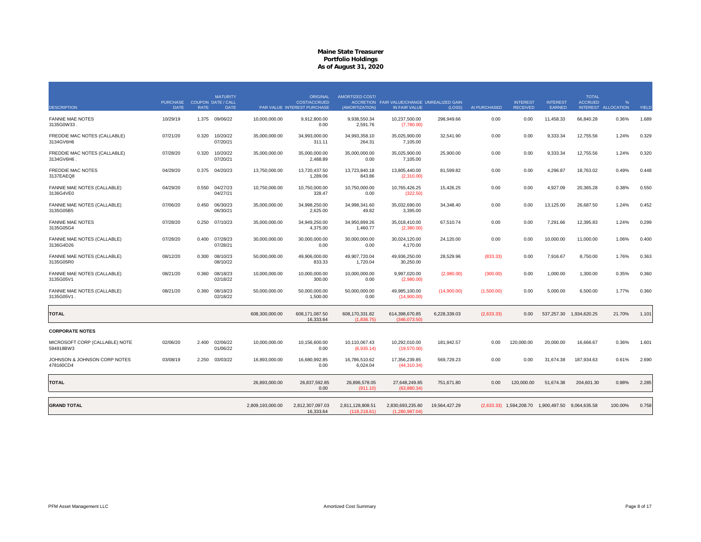| <b>DESCRIPTION</b>                          | <b>PURCHASE</b><br><b>DATE</b> | <b>RATE</b> | <b>MATURITY</b><br><b>COUPON DATE / CALL</b><br><b>DATE</b> |                  | <b>ORIGINAL</b><br><b>COST/ACCRUED</b><br>PAR VALUE INTEREST PURCHASE | <b>AMORTIZED COST/</b><br>(AMORTIZATION) | ACCRETION FAIR VALUE/CHANGE UNREALIZED GAIN<br>IN FAIR VALUE | (LOSS)        | AI PURCHASED | <b>INTEREST</b><br><b>RECEIVED</b>                | <b>INTEREST</b><br>EARNED | <b>TOTAL</b><br><b>ACCRUED</b> | $O_{\alpha}$<br>INTEREST ALLOCATION | YIELD |
|---------------------------------------------|--------------------------------|-------------|-------------------------------------------------------------|------------------|-----------------------------------------------------------------------|------------------------------------------|--------------------------------------------------------------|---------------|--------------|---------------------------------------------------|---------------------------|--------------------------------|-------------------------------------|-------|
| <b>FANNIE MAE NOTES</b><br>3135G0W33.       | 10/29/19                       |             | 1.375 09/06/22                                              | 10,000,000.00    | 9,912,800.00<br>0.00                                                  | 9,938,550.34<br>2,591.76                 | 10,237,500.00<br>(7,780.00)                                  | 298,949.66    | 0.00         | 0.00                                              | 11,458.33                 | 66,840.28                      | 0.36%                               | 1.689 |
| FREDDIE MAC NOTES (CALLABLE)<br>3134GV6H6   | 07/21/20                       | 0.320       | 10/20/22<br>07/20/21                                        | 35,000,000.00    | 34,993,000.00<br>311.11                                               | 34,993,358.10<br>264.31                  | 35,025,900.00<br>7.105.00                                    | 32,541.90     | 0.00         | 0.00                                              | 9,333.34                  | 12,755.56                      | 1.24%                               | 0.329 |
| FREDDIE MAC NOTES (CALLABLE)<br>3134GV6H6   | 07/28/20                       | 0.320       | 10/20/22<br>07/20/21                                        | 35,000,000.00    | 35,000,000.00<br>2,488.89                                             | 35,000,000.00<br>0.00                    | 35,025,900.00<br>7,105.00                                    | 25,900.00     | 0.00         | 0.00                                              | 9,333.34                  | 12,755.56                      | 1.24%                               | 0.320 |
| <b>FREDDIE MAC NOTES</b><br>3137EAEQ8       | 04/29/20                       | 0.375       | 04/20/23                                                    | 13,750,000.00    | 13,720,437.50<br>1,289.06                                             | 13.723.840.18<br>843.86                  | 13.805.440.00<br>(2,310.00)                                  | 81.599.82     | 0.00         | 0.00                                              | 4,296.87                  | 18,763.02                      | 0.49%                               | 0.448 |
| FANNIE MAE NOTES (CALLABLE)<br>3136G4VE0    | 04/29/20                       | 0.550       | 04/27/23<br>04/27/21                                        | 10,750,000.00    | 10,750,000.00<br>328.47                                               | 10,750,000.00<br>0.00                    | 10,765,426.25<br>(322.50)                                    | 15.426.25     | 0.00         | 0.00                                              | 4,927.09                  | 20,365.28                      | 0.38%                               | 0.550 |
| FANNIE MAE NOTES (CALLABLE)<br>3135G05B5    | 07/06/20                       | 0.450       | 06/30/23<br>06/30/21                                        | 35,000,000.00    | 34,998,250.00<br>2,625.00                                             | 34,998,341.60<br>49.82                   | 35,032,690.00<br>3,395.00                                    | 34,348.40     | 0.00         | 0.00                                              | 13,125.00                 | 26,687.50                      | 1.24%                               | 0.452 |
| <b>FANNIE MAE NOTES</b><br>3135G05G4        | 07/28/20                       | 0.250       | 07/10/23                                                    | 35,000,000.00    | 34,949,250.00<br>4,375.00                                             | 34,950,899.26<br>1,460.77                | 35,018,410.00<br>(2,380.00)                                  | 67,510.74     | 0.00         | 0.00                                              | 7,291.66                  | 12,395.83                      | 1.24%                               | 0.299 |
| FANNIE MAE NOTES (CALLABLE)<br>3136G4D26    | 07/28/20                       | 0.400       | 07/28/23<br>07/28/21                                        | 30,000,000.00    | 30,000,000.00<br>0.00                                                 | 30,000,000.00<br>0.00                    | 30,024,120.00<br>4.170.00                                    | 24,120.00     | 0.00         | 0.00                                              | 10,000.00                 | 11,000.00                      | 1.06%                               | 0.400 |
| FANNIE MAE NOTES (CALLABLE)<br>3135G05R0    | 08/12/20                       | 0.300       | 08/10/23<br>08/10/22                                        | 50,000,000.00    | 49,906,000.00<br>833.33                                               | 49,907,720.04<br>1,720.04                | 49,936,250.00<br>30,250.00                                   | 28,529.96     | (833.33)     | 0.00                                              | 7,916.67                  | 8,750.00                       | 1.76%                               | 0.363 |
| FANNIE MAE NOTES (CALLABLE)<br>3135G05V1    | 08/21/20                       | 0.360       | 08/18/23<br>02/18/22                                        | 10,000,000.00    | 10,000,000.00<br>300.00                                               | 10.000.000.00<br>0.00                    | 9,997,020.00<br>(2,980.00)                                   | (2,980.00)    | (300.00)     | 0.00                                              | 1,000.00                  | 1,300.00                       | 0.35%                               | 0.360 |
| FANNIE MAE NOTES (CALLABLE)<br>3135G05V1.   | 08/21/20                       | 0.360       | 08/18/23<br>02/18/22                                        | 50,000,000.00    | 50,000,000.00<br>1,500.00                                             | 50,000,000.00<br>0.00                    | 49,985,100.00<br>(14,900.00)                                 | (14,900.00)   | (1,500.00)   | 0.00                                              | 5,000.00                  | 6,500.00                       | 1.77%                               | 0.360 |
| <b>TOTAL</b>                                |                                |             |                                                             | 608,300,000.00   | 608,171,087.50<br>16.333.64                                           | 608,170,331.82<br>(1.836.75)             | 614,398,670.85<br>(346.073.50)                               | 6,228,339.03  | (2,633.33)   | 0.00                                              |                           | 537,257.30 1,934,620.25        | 21.70%                              | 1.101 |
| <b>CORPORATE NOTES</b>                      |                                |             |                                                             |                  |                                                                       |                                          |                                                              |               |              |                                                   |                           |                                |                                     |       |
| MICROSOFT CORP (CALLABLE) NOTE<br>594918BW3 | 02/06/20                       | 2.400       | 02/06/22<br>01/06/22                                        | 10,000,000.00    | 10,156,600.00<br>0.00                                                 | 10,110,067.43<br>(6,935.14)              | 10,292,010.00<br>(19,570.00)                                 | 181,942.57    | 0.00         | 120,000.00                                        | 20,000.00                 | 16,666.67                      | 0.36%                               | 1.601 |
| JOHNSON & JOHNSON CORP NOTES<br>478160CD4   | 03/08/19                       | 2.250       | 03/03/22                                                    | 16,893,000.00    | 16,680,992.85<br>0.00                                                 | 16,786,510.62<br>6,024.04                | 17,356,239.85<br>(44, 310.34)                                | 569,729.23    | 0.00         | 0.00                                              | 31,674.38                 | 187,934.63                     | 0.61%                               | 2.690 |
| <b>TOTAL</b>                                |                                |             |                                                             | 26,893,000.00    | 26,837,592.85<br>0.00                                                 | 26,896,578.05<br>(911.10)                | 27,648,249.85<br>(63.880.34)                                 | 751,671.80    | 0.00         | 120,000.00                                        | 51,674.38                 | 204,601.30                     | 0.98%                               | 2.285 |
| <b>GRAND TOTAL</b>                          |                                |             |                                                             | 2,809,193,000.00 | 2.812.307.097.03<br>16,333.64                                         | 2,811,128,808.51<br>(118, 218.61)        | 2,830,693,235.80<br>(1,280,987.04)                           | 19,564,427.29 |              | (2,633.33) 1,594,208.70 1,900,497.50 9,064,635.58 |                           |                                | 100.00%                             | 0.758 |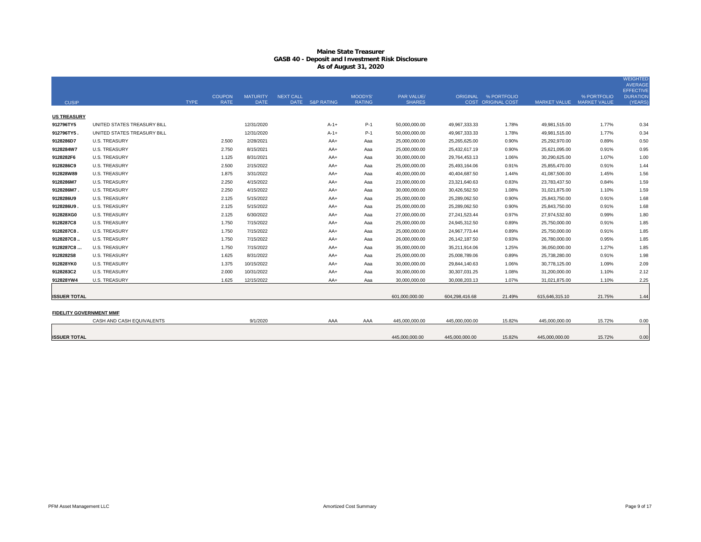|                                |                             |             |                              |                                |                  |                 |                                 |                             |                 |                                                   |                           |             | <b>WEIGHTED</b><br><b>AVERAGE</b><br><b>EFFECTIVE</b> |
|--------------------------------|-----------------------------|-------------|------------------------------|--------------------------------|------------------|-----------------|---------------------------------|-----------------------------|-----------------|---------------------------------------------------|---------------------------|-------------|-------------------------------------------------------|
| <b>CUSIP</b>                   |                             | <b>TYPE</b> | <b>COUPON</b><br><b>RATE</b> | <b>MATURITY</b><br><b>DATE</b> | <b>NEXT CALL</b> | DATE S&P RATING | <b>MOODYS'</b><br><b>RATING</b> | PAR VALUE/<br><b>SHARES</b> |                 | ORIGINAL % PORTFOLIO<br><b>COST ORIGINAL COST</b> | MARKET VALUE MARKET VALUE | % PORTFOLIO | <b>DURATION</b><br>(YEARS)                            |
| <b>US TREASURY</b>             |                             |             |                              |                                |                  |                 |                                 |                             |                 |                                                   |                           |             |                                                       |
| 912796TY5                      | UNITED STATES TREASURY BILL |             |                              | 12/31/2020                     |                  | $A-1+$          | $P-1$                           | 50,000,000.00               | 49,967,333.33   | 1.78%                                             | 49,981,515.00             | 1.77%       | 0.34                                                  |
| 912796TY5.                     | UNITED STATES TREASURY BILL |             |                              | 12/31/2020                     |                  | $A - 1 +$       | $P-1$                           | 50,000,000.00               | 49,967,333.33   | 1.78%                                             | 49,981,515.00             | 1.77%       | 0.34                                                  |
| 9128286D7                      | U.S. TREASURY               |             | 2.500                        | 2/28/2021                      |                  | AA+             | Aaa                             | 25,000,000.00               | 25,265,625.00   | 0.90%                                             | 25,292,970.00             | 0.89%       | 0.50                                                  |
| 9128284W7                      | <b>U.S. TREASURY</b>        |             | 2.750                        | 8/15/2021                      |                  | AA+             | Aaa                             | 25,000,000.00               | 25,432,617.19   | 0.90%                                             | 25,621,095.00             | 0.91%       | 0.95                                                  |
| 9128282F6                      | <b>U.S. TREASURY</b>        |             | 1.125                        | 8/31/2021                      |                  | AA+             | Aaa                             | 30,000,000.00               | 29,764,453.13   | 1.06%                                             | 30,290,625.00             | 1.07%       | 1.00                                                  |
| 9128286C9                      | <b>U.S. TREASURY</b>        |             | 2.500                        | 2/15/2022                      |                  | AA+             | Aaa                             | 25,000,000.00               | 25,493,164.06   | 0.91%                                             | 25,855,470.00             | 0.91%       | 1.44                                                  |
| 912828W89                      | <b>U.S. TREASURY</b>        |             | 1.875                        | 3/31/2022                      |                  | AA+             | Aaa                             | 40,000,000.00               | 40,404,687.50   | 1.44%                                             | 41,087,500.00             | 1.45%       | 1.56                                                  |
| 9128286M7                      | <b>U.S. TREASURY</b>        |             | 2.250                        | 4/15/2022                      |                  | AA+             | Aaa                             | 23,000,000.00               | 23,321,640.63   | 0.83%                                             | 23,783,437.50             | 0.84%       | 1.59                                                  |
| 9128286M7                      | <b>U.S. TREASURY</b>        |             | 2.250                        | 4/15/2022                      |                  | AA+             | Aaa                             | 30,000,000.00               | 30,426,562.50   | 1.08%                                             | 31,021,875.00             | 1.10%       | 1.59                                                  |
| 9128286U9                      | <b>U.S. TREASURY</b>        |             | 2.125                        | 5/15/2022                      |                  | AA+             | Aaa                             | 25,000,000.00               | 25,289,062.50   | 0.90%                                             | 25,843,750.00             | 0.91%       | 1.68                                                  |
| 9128286U9.                     | <b>U.S. TREASURY</b>        |             | 2.125                        | 5/15/2022                      |                  | AA+             | Aaa                             | 25,000,000.00               | 25,289,062.50   | 0.90%                                             | 25,843,750.00             | 0.91%       | 1.68                                                  |
| 912828XG0                      | <b>U.S. TREASURY</b>        |             | 2.125                        | 6/30/2022                      |                  | AA+             | Aaa                             | 27,000,000.00               | 27,241,523.44   | 0.97%                                             | 27,974,532.60             | 0.99%       | 1.80                                                  |
| 9128287C8                      | <b>U.S. TREASURY</b>        |             | 1.750                        | 7/15/2022                      |                  | AA+             | Aaa                             | 25,000,000.00               | 24,945,312.50   | 0.89%                                             | 25,750,000.00             | 0.91%       | 1.85                                                  |
| 9128287C8.                     | <b>U.S. TREASURY</b>        |             | 1.750                        | 7/15/2022                      |                  | AA+             | Aaa                             | 25,000,000.00               | 24,967,773.44   | 0.89%                                             | 25,750,000.00             | 0.91%       | 1.85                                                  |
| 9128287C8                      | <b>U.S. TREASURY</b>        |             | 1.750                        | 7/15/2022                      |                  | AA+             | Aaa                             | 26,000,000.00               | 26, 142, 187.50 | 0.93%                                             | 26,780,000.00             | 0.95%       | 1.85                                                  |
| 9128287C8                      | <b>U.S. TREASURY</b>        |             | 1.750                        | 7/15/2022                      |                  | AA+             | Aaa                             | 35,000,000.00               | 35.211.914.06   | 1.25%                                             | 36,050,000.00             | 1.27%       | 1.85                                                  |
| 9128282S8                      | <b>U.S. TREASURY</b>        |             | 1.625                        | 8/31/2022                      |                  | AA+             | Aaa                             | 25,000,000.00               | 25,008,789.06   | 0.89%                                             | 25,738,280.00             | 0.91%       | 1.98                                                  |
| 912828YK0                      | U.S. TREASURY               |             | 1.375                        | 10/15/2022                     |                  | AA+             | Aaa                             | 30,000,000.00               | 29,844,140.63   | 1.06%                                             | 30,778,125.00             | 1.09%       | 2.09                                                  |
| 9128283C2                      | <b>U.S. TREASURY</b>        |             | 2.000                        | 10/31/2022                     |                  | AA+             | Aaa                             | 30,000,000.00               | 30,307,031.25   | 1.08%                                             | 31,200,000.00             | 1.10%       | 2.12                                                  |
| 912828YW4                      | <b>U.S. TREASURY</b>        |             | 1.625                        | 12/15/2022                     |                  | AA+             | Aaa                             | 30,000,000.00               | 30,008,203.13   | 1.07%                                             | 31,021,875.00             | 1.10%       | 2.25                                                  |
|                                |                             |             |                              |                                |                  |                 |                                 |                             |                 |                                                   |                           |             |                                                       |
| <b>ISSUER TOTAL</b>            |                             |             |                              |                                |                  |                 |                                 | 601,000,000.00              | 604.298.416.68  | 21.49%                                            | 615,646,315.10            | 21.75%      | 1.44                                                  |
|                                |                             |             |                              |                                |                  |                 |                                 |                             |                 |                                                   |                           |             |                                                       |
| <b>FIDELITY GOVERNMENT MMF</b> |                             |             |                              |                                |                  |                 |                                 |                             |                 |                                                   |                           |             |                                                       |
|                                | CASH AND CASH EQUIVALENTS   |             |                              | 9/1/2020                       |                  | AAA             | AAA                             | 445,000,000.00              | 445,000,000.00  | 15.82%                                            | 445,000,000.00            | 15.72%      | 0.00                                                  |
| <b>ISSUER TOTAL</b>            |                             |             |                              |                                |                  |                 |                                 | 445,000,000.00              | 445,000,000.00  | 15.82%                                            | 445,000,000.00            | 15.72%      | 0.00                                                  |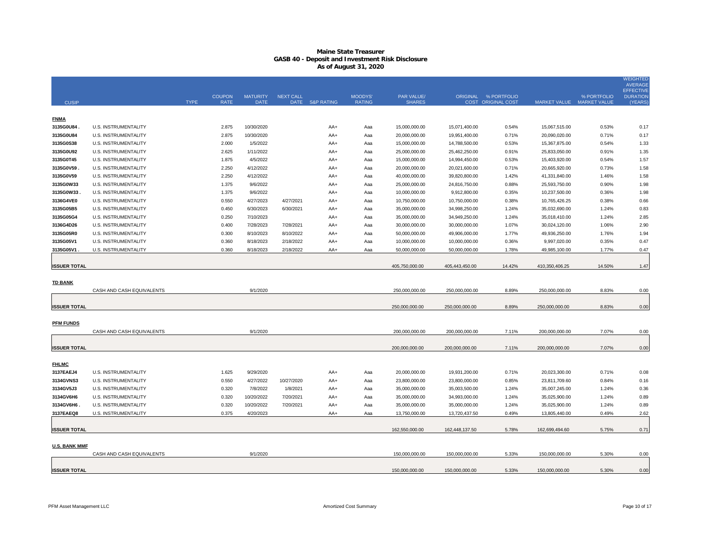|                        |                                              |             |                              |                                |                        |                 |                                |                                |                               |                                            |                                |                | <b>WEIGHTED</b><br><b>AVERAGE</b><br><b>EFFECTIVE</b> |
|------------------------|----------------------------------------------|-------------|------------------------------|--------------------------------|------------------------|-----------------|--------------------------------|--------------------------------|-------------------------------|--------------------------------------------|--------------------------------|----------------|-------------------------------------------------------|
| <b>CUSIP</b>           |                                              | <b>TYPE</b> | <b>COUPON</b><br><b>RATE</b> | <b>MATURITY</b><br><b>DATE</b> | <b>NEXT CALL</b>       | DATE S&P RATING | <b>MOODYS</b><br><b>RATING</b> | PAR VALUE/<br><b>SHARES</b>    |                               | ORIGINAL % PORTFOLIO<br>COST ORIGINAL COST | MARKET VALUE MARKET VALUE      | % PORTFOLIO    | <b>DURATION</b><br>(YEARS                             |
| <b>FNMA</b>            |                                              |             |                              |                                |                        |                 |                                |                                |                               |                                            |                                |                |                                                       |
| 3135G0U84              | U.S. INSTRUMENTALITY                         |             | 2.875                        | 10/30/2020                     |                        | AA+             | Aaa                            | 15,000,000.00                  | 15,071,400.00                 | 0.54%                                      | 15,067,515.00                  | 0.53%          | 0.17                                                  |
| 3135G0U84              | U.S. INSTRUMENTALITY                         |             | 2.875                        | 10/30/2020                     |                        | AA+             | Aaa                            | 20,000,000.00                  | 19,951,400.00                 | 0.71%                                      | 20,090,020.00                  | 0.71%          | 0.17                                                  |
| 3135G0S38              | U.S. INSTRUMENTALITY                         |             | 2.000                        | 1/5/2022                       |                        | AA+             | Aaa                            | 15,000,000.00                  | 14,788,500.00                 | 0.53%                                      | 15,367,875.00                  | 0.54%          | 1.33                                                  |
| 3135G0U92              | U.S. INSTRUMENTALITY                         |             | 2.625                        | 1/11/2022                      |                        | AA+             | Aaa                            | 25,000,000.00                  | 25,462,250.00                 | 0.91%                                      | 25,833,050.00                  | 0.91%          | 1.35                                                  |
| 3135G0T45              | U.S. INSTRUMENTALITY                         |             | 1.875                        | 4/5/2022                       |                        | AA+             | Aaa                            | 15,000,000.00                  | 14,994,450.00                 | 0.53%                                      | 15,403,920.00                  | 0.54%          | 1.57                                                  |
| 3135G0V59.             | U.S. INSTRUMENTALITY                         |             | 2.250                        | 4/12/2022                      |                        | AA+             | Aaa                            | 20,000,000.00                  | 20,021,600.00                 | 0.71%                                      | 20,665,920.00                  | 0.73%          | 1.58                                                  |
| 3135G0V59              | U.S. INSTRUMENTALITY                         |             | 2.250                        | 4/12/2022                      |                        | AA+             | Aaa                            | 40,000,000.00                  | 39,820,800.00                 | 1.42%                                      | 41,331,840.00                  | 1.46%          | 1.58                                                  |
| 3135G0W33              | U.S. INSTRUMENTALITY                         |             | 1.375                        | 9/6/2022                       |                        | AA+             | Aaa                            | 25,000,000.00                  | 24,816,750.00                 | 0.88%                                      | 25,593,750.00                  | 0.90%          | 1.98                                                  |
| 3135G0W33              | U.S. INSTRUMENTALITY                         |             | 1.375                        | 9/6/2022                       |                        | AA+             | Aaa                            | 10,000,000.00                  | 9,912,800.00<br>10,750,000.00 | 0.35%                                      | 10,237,500.00                  | 0.36%          | 1.98                                                  |
| 3136G4VE0<br>3135G05B5 | U.S. INSTRUMENTALITY<br>U.S. INSTRUMENTALITY |             | 0.550<br>0.450               | 4/27/2023<br>6/30/2023         | 4/27/2021<br>6/30/2021 | AA+             | Aaa                            | 10,750,000.00<br>35,000,000.00 | 34,998,250.00                 | 0.38%<br>1.24%                             | 10,765,426.25<br>35,032,690.00 | 0.38%<br>1.24% | 0.66<br>0.83                                          |
| 3135G05G4              | U.S. INSTRUMENTALITY                         |             | 0.250                        | 7/10/2023                      |                        | AA+<br>AA+      | Aaa<br>Aaa                     | 35,000,000.00                  | 34,949,250.00                 | 1.24%                                      | 35,018,410.00                  | 1.24%          | 2.85                                                  |
| 3136G4D26              | U.S. INSTRUMENTALITY                         |             | 0.400                        | 7/28/2023                      | 7/28/2021              | AA+             | Aaa                            | 30,000,000.00                  | 30,000,000.00                 | 1.07%                                      | 30,024,120.00                  | 1.06%          | 2.90                                                  |
| 3135G05R0              | U.S. INSTRUMENTALITY                         |             | 0.300                        | 8/10/2023                      | 8/10/2022              | AA+             | Aaa                            | 50,000,000.00                  | 49,906,000.00                 | 1.77%                                      | 49,936,250.00                  | 1.76%          | 1.94                                                  |
| 3135G05V1              | U.S. INSTRUMENTALITY                         |             | 0.360                        | 8/18/2023                      | 2/18/2022              | AA+             | Aaa                            | 10,000,000.00                  | 10,000,000.00                 | 0.36%                                      | 9,997,020.00                   | 0.35%          | 0.47                                                  |
| 3135G05V1              | U.S. INSTRUMENTALITY                         |             | 0.360                        | 8/18/2023                      | 2/18/2022              | AA+             | Aaa                            | 50,000,000.00                  | 50,000,000.00                 | 1.78%                                      | 49,985,100.00                  | 1.77%          | 0.47                                                  |
|                        |                                              |             |                              |                                |                        |                 |                                |                                |                               |                                            |                                |                |                                                       |
| <b>ISSUER TOTAL</b>    |                                              |             |                              |                                |                        |                 |                                | 405,750,000.00                 | 405,443,450.00                | 14.42%                                     | 410,350,406.25                 | 14.50%         | 1.47                                                  |
| <b>TD BANK</b>         |                                              |             |                              |                                |                        |                 |                                |                                |                               |                                            |                                |                |                                                       |
|                        | CASH AND CASH EQUIVALENTS                    |             |                              | 9/1/2020                       |                        |                 |                                | 250,000,000.00                 | 250,000,000.00                | 8.89%                                      | 250,000,000.00                 | 8.83%          | 0.00                                                  |
| <b>ISSUER TOTAL</b>    |                                              |             |                              |                                |                        |                 |                                | 250,000,000.00                 | 250,000,000.00                | 8.89%                                      | 250,000,000.00                 | 8.83%          | 0.00                                                  |
|                        |                                              |             |                              |                                |                        |                 |                                |                                |                               |                                            |                                |                |                                                       |
| <b>PFM FUNDS</b>       | CASH AND CASH EQUIVALENTS                    |             |                              | 9/1/2020                       |                        |                 |                                | 200.000.000.00                 | 200,000,000.00                | 7.11%                                      | 200,000,000.00                 | 7.07%          | 0.00                                                  |
|                        |                                              |             |                              |                                |                        |                 |                                |                                |                               |                                            |                                |                |                                                       |
| <b>ISSUER TOTAL</b>    |                                              |             |                              |                                |                        |                 |                                | 200,000,000.00                 | 200,000,000.00                | 7.11%                                      | 200,000,000.00                 | 7.07%          | 0.00                                                  |
| <b>FHLMC</b>           |                                              |             |                              |                                |                        |                 |                                |                                |                               |                                            |                                |                |                                                       |
| 3137EAEJ4              | U.S. INSTRUMENTALITY                         |             | 1.625                        | 9/29/2020                      |                        | AA+             | Aaa                            | 20,000,000.00                  | 19,931,200.00                 | 0.71%                                      | 20,023,300.00                  | 0.71%          | 0.08                                                  |
| 3134GVNS3              | U.S. INSTRUMENTALITY                         |             | 0.550                        | 4/27/2022                      | 10/27/2020             | AA+             | Aaa                            | 23,800,000.00                  | 23,800,000.00                 | 0.85%                                      | 23,811,709.60                  | 0.84%          | 0.16                                                  |
| 3134GV5J3              | U.S. INSTRUMENTALITY                         |             | 0.320                        | 7/8/2022                       | 1/8/2021               | AA+             | Aaa                            | 35,000,000.00                  | 35,003,500.00                 | 1.24%                                      | 35,007,245.00                  | 1.24%          | 0.36                                                  |
| 3134GV6H6              | U.S. INSTRUMENTALITY                         |             | 0.320                        | 10/20/2022                     | 7/20/2021              | AA+             | Aaa                            | 35,000,000.00                  | 34,993,000.00                 | 1.24%                                      | 35,025,900.00                  | 1.24%          | 0.89                                                  |
| 3134GV6H6.             | U.S. INSTRUMENTALITY                         |             | 0.320                        | 10/20/2022                     | 7/20/2021              | AA+             | Aaa                            | 35,000,000.00                  | 35,000,000.00                 | 1.24%                                      | 35,025,900.00                  | 1.24%          | 0.89                                                  |
| 3137EAEQ8              | U.S. INSTRUMENTALITY                         |             | 0.375                        | 4/20/2023                      |                        | AA+             | Aaa                            | 13,750,000.00                  | 13,720,437.50                 | 0.49%                                      | 13,805,440.00                  | 0.49%          | 2.62                                                  |
| <b>ISSUER TOTAL</b>    |                                              |             |                              |                                |                        |                 |                                | 162,550,000.00                 | 162,448,137.50                | 5.78%                                      | 162,699,494.60                 | 5.75%          | 0.71                                                  |
|                        |                                              |             |                              |                                |                        |                 |                                |                                |                               |                                            |                                |                |                                                       |
| <b>U.S. BANK MMF</b>   | CASH AND CASH EQUIVALENTS                    |             |                              | 9/1/2020                       |                        |                 |                                | 150,000,000.00                 | 150,000,000.00                | 5.33%                                      | 150,000,000.00                 | 5.30%          | 0.00                                                  |
| <b>ISSUER TOTAL</b>    |                                              |             |                              |                                |                        |                 |                                | 150,000,000.00                 | 150,000,000.00                | 5.33%                                      | 150,000,000.00                 | 5.30%          | 0.00                                                  |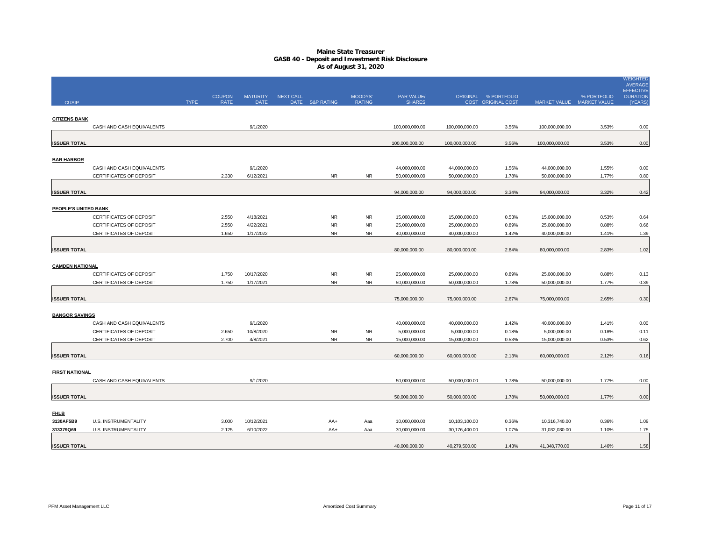|                        |                             |             | <b>COUPON</b> | <b>MATURITY</b> | <b>NEXT CALL</b> |                 | <b>MOODYS'</b> | PAR VALUE/     |                | ORIGINAL % PORTFOLIO |                           | % PORTFOLIO | WEIGHTED<br><b>AVERAGE</b><br><b>EFFECTIVE</b><br><b>DURATION</b> |
|------------------------|-----------------------------|-------------|---------------|-----------------|------------------|-----------------|----------------|----------------|----------------|----------------------|---------------------------|-------------|-------------------------------------------------------------------|
| <b>CUSIP</b>           |                             | <b>TYPE</b> | <b>RATE</b>   | <b>DATE</b>     |                  | DATE S&P RATING | <b>RATING</b>  | <b>SHARES</b>  |                | COST ORIGINAL COST   | MARKET VALUE MARKET VALUE |             | (YEARS                                                            |
|                        |                             |             |               |                 |                  |                 |                |                |                |                      |                           |             |                                                                   |
| <b>CITIZENS BANK</b>   | CASH AND CASH EQUIVALENTS   |             |               | 9/1/2020        |                  |                 |                | 100,000,000.00 | 100,000,000.00 | 3.56%                | 100,000,000.00            | 3.53%       | 0.00                                                              |
|                        |                             |             |               |                 |                  |                 |                |                |                |                      |                           |             |                                                                   |
| <b>ISSUER TOTAL</b>    |                             |             |               |                 |                  |                 |                | 100,000,000.00 | 100,000,000.00 | 3.56%                | 100,000,000.00            | 3.53%       | 0.00                                                              |
| <b>BAR HARBOR</b>      |                             |             |               |                 |                  |                 |                |                |                |                      |                           |             |                                                                   |
|                        | CASH AND CASH EQUIVALENTS   |             |               | 9/1/2020        |                  |                 |                | 44,000,000.00  | 44,000,000.00  | 1.56%                | 44,000,000.00             | 1.55%       | 0.00                                                              |
|                        | CERTIFICATES OF DEPOSIT     |             | 2.330         | 6/12/2021       |                  | <b>NR</b>       | <b>NR</b>      | 50,000,000.00  | 50,000,000.00  | 1.78%                | 50,000,000.00             | 1.77%       | 0.80                                                              |
|                        |                             |             |               |                 |                  |                 |                |                |                |                      |                           |             |                                                                   |
| <b>ISSUER TOTAL</b>    |                             |             |               |                 |                  |                 |                | 94,000,000.00  | 94,000,000.00  | 3.34%                | 94,000,000.00             | 3.32%       | 0.42                                                              |
| PEOPLE'S UNITED BANK   |                             |             |               |                 |                  |                 |                |                |                |                      |                           |             |                                                                   |
|                        | CERTIFICATES OF DEPOSIT     |             | 2.550         | 4/18/2021       |                  | <b>NR</b>       | <b>NR</b>      | 15,000,000.00  | 15,000,000.00  | 0.53%                | 15,000,000.00             | 0.53%       | 0.64                                                              |
|                        | CERTIFICATES OF DEPOSIT     |             | 2.550         | 4/22/2021       |                  | <b>NR</b>       | <b>NR</b>      | 25,000,000.00  | 25,000,000.00  | 0.89%                | 25,000,000.00             | 0.88%       | 0.66                                                              |
|                        | CERTIFICATES OF DEPOSIT     |             | 1.650         | 1/17/2022       |                  | <b>NR</b>       | <b>NR</b>      | 40,000,000.00  | 40,000,000.00  | 1.42%                | 40,000,000.00             | 1.41%       | 1.39                                                              |
|                        |                             |             |               |                 |                  |                 |                |                |                |                      |                           |             |                                                                   |
| <b>ISSUER TOTAL</b>    |                             |             |               |                 |                  |                 |                | 80,000,000.00  | 80,000,000.00  | 2.84%                | 80,000,000.00             | 2.83%       | 1.02                                                              |
| <b>CAMDEN NATIONAL</b> |                             |             |               |                 |                  |                 |                |                |                |                      |                           |             |                                                                   |
|                        | CERTIFICATES OF DEPOSIT     |             | 1.750         | 10/17/2020      |                  | <b>NR</b>       | NR.            | 25,000,000.00  | 25,000,000.00  | 0.89%                | 25,000,000.00             | 0.88%       | 0.13                                                              |
|                        | CERTIFICATES OF DEPOSIT     |             | 1.750         | 1/17/2021       |                  | <b>NR</b>       | <b>NR</b>      | 50,000,000.00  | 50,000,000.00  | 1.78%                | 50,000,000.00             | 1.77%       | 0.39                                                              |
|                        |                             |             |               |                 |                  |                 |                |                |                |                      |                           |             |                                                                   |
| <b>ISSUER TOTAL</b>    |                             |             |               |                 |                  |                 |                | 75,000,000.00  | 75,000,000.00  | 2.67%                | 75,000,000.00             | 2.65%       | 0.30                                                              |
| <b>BANGOR SAVINGS</b>  |                             |             |               |                 |                  |                 |                |                |                |                      |                           |             |                                                                   |
|                        | CASH AND CASH EQUIVALENTS   |             |               | 9/1/2020        |                  |                 |                | 40,000,000.00  | 40,000,000.00  | 1.42%                | 40,000,000.00             | 1.41%       | 0.00                                                              |
|                        | CERTIFICATES OF DEPOSIT     |             | 2.650         | 10/8/2020       |                  | <b>NR</b>       | <b>NR</b>      | 5,000,000.00   | 5,000,000.00   | 0.18%                | 5,000,000.00              | 0.18%       | 0.11                                                              |
|                        | CERTIFICATES OF DEPOSIT     |             | 2.700         | 4/8/2021        |                  | <b>NR</b>       | <b>NR</b>      | 15,000,000.00  | 15,000,000.00  | 0.53%                | 15,000,000.00             | 0.53%       | 0.62                                                              |
| <b>ISSUER TOTAL</b>    |                             |             |               |                 |                  |                 |                | 60,000,000.00  | 60,000,000.00  | 2.13%                | 60,000,000.00             | 2.12%       | 0.16                                                              |
|                        |                             |             |               |                 |                  |                 |                |                |                |                      |                           |             |                                                                   |
| <b>FIRST NATIONAL</b>  |                             |             |               |                 |                  |                 |                |                |                |                      |                           |             |                                                                   |
|                        | CASH AND CASH EQUIVALENTS   |             |               | 9/1/2020        |                  |                 |                | 50,000,000.00  | 50,000,000.00  | 1.78%                | 50,000,000.00             | 1.77%       | 0.00                                                              |
|                        |                             |             |               |                 |                  |                 |                |                |                |                      |                           |             |                                                                   |
| <b>ISSUER TOTAL</b>    |                             |             |               |                 |                  |                 |                | 50,000,000.00  | 50,000,000.00  | 1.78%                | 50,000,000.00             | 1.77%       | 0.00                                                              |
| <u>FHLB</u>            |                             |             |               |                 |                  |                 |                |                |                |                      |                           |             |                                                                   |
| 3130AF5B9              | <b>U.S. INSTRUMENTALITY</b> |             | 3.000         | 10/12/2021      |                  | AA+             | Aaa            | 10,000,000.00  | 10,103,100.00  | 0.36%                | 10,316,740.00             | 0.36%       | 1.09                                                              |
| 313379Q69              | U.S. INSTRUMENTALITY        |             | 2.125         | 6/10/2022       |                  | AA+             | Aaa            | 30,000,000.00  | 30,176,400.00  | 1.07%                | 31,032,030.00             | 1.10%       | 1.75                                                              |
|                        |                             |             |               |                 |                  |                 |                |                |                |                      |                           |             |                                                                   |
| <b>ISSUER TOTAL</b>    |                             |             |               |                 |                  |                 |                | 40,000,000.00  | 40,279,500.00  | 1.43%                | 41,348,770.00             | 1.46%       | 1.58                                                              |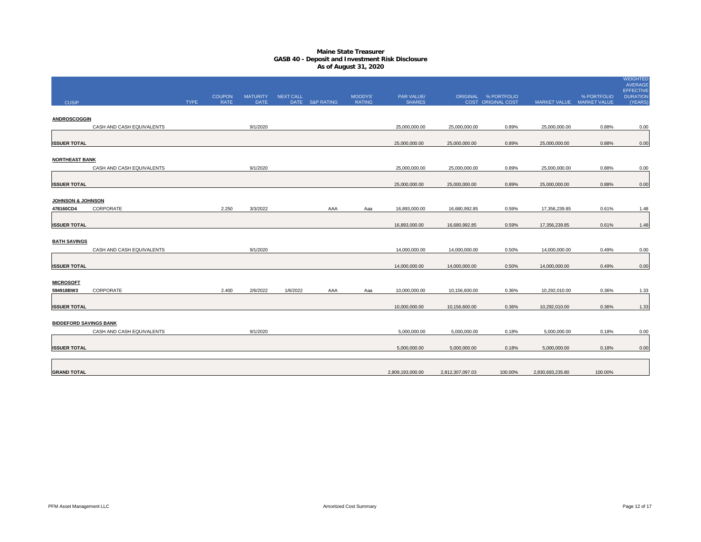|                               |                           |             |               |                 |                  |                 |                |                  |                  |                           |                           |             | WEIGHTED<br>AVERAGE                 |
|-------------------------------|---------------------------|-------------|---------------|-----------------|------------------|-----------------|----------------|------------------|------------------|---------------------------|---------------------------|-------------|-------------------------------------|
|                               |                           |             | <b>COUPON</b> | <b>MATURITY</b> | <b>NEXT CALL</b> |                 | <b>MOODYS'</b> | PAR VALUE/       |                  | ORIGINAL % PORTFOLIO      |                           | % PORTFOLIO | <b>EFFECTIVE</b><br><b>DURATION</b> |
| <b>CUSIP</b>                  |                           | <b>TYPE</b> | <b>RATE</b>   | <b>DATE</b>     |                  | DATE S&P RATING | <b>RATING</b>  | <b>SHARES</b>    |                  | <b>COST ORIGINAL COST</b> | MARKET VALUE MARKET VALUE |             | (YEARS)                             |
| <b>ANDROSCOGGIN</b>           |                           |             |               |                 |                  |                 |                |                  |                  |                           |                           |             |                                     |
|                               | CASH AND CASH EQUIVALENTS |             |               | 9/1/2020        |                  |                 |                | 25,000,000.00    | 25,000,000.00    | 0.89%                     | 25,000,000.00             | 0.88%       | 0.00                                |
|                               |                           |             |               |                 |                  |                 |                |                  |                  |                           |                           |             |                                     |
| <b>ISSUER TOTAL</b>           |                           |             |               |                 |                  |                 |                | 25,000,000.00    | 25,000,000.00    | 0.89%                     | 25,000,000.00             | 0.88%       | 0.00                                |
| <b>NORTHEAST BANK</b>         |                           |             |               |                 |                  |                 |                |                  |                  |                           |                           |             |                                     |
|                               | CASH AND CASH EQUIVALENTS |             |               | 9/1/2020        |                  |                 |                | 25,000,000.00    | 25,000,000.00    | 0.89%                     | 25,000,000.00             | 0.88%       | 0.00                                |
| <b>ISSUER TOTAL</b>           |                           |             |               |                 |                  |                 |                | 25,000,000.00    | 25,000,000.00    | 0.89%                     | 25,000,000.00             | 0.88%       | 0.00                                |
|                               |                           |             |               |                 |                  |                 |                |                  |                  |                           |                           |             |                                     |
| <b>JOHNSON &amp; JOHNSON</b>  |                           |             |               |                 |                  |                 |                |                  |                  |                           |                           |             |                                     |
| 478160CD4                     | CORPORATE                 |             | 2.250         | 3/3/2022        |                  | AAA             | Aaa            | 16,893,000.00    | 16,680,992.85    | 0.59%                     | 17,356,239.85             | 0.61%       | 1.48                                |
|                               |                           |             |               |                 |                  |                 |                |                  |                  | 0.59%                     |                           |             |                                     |
| <b>ISSUER TOTAL</b>           |                           |             |               |                 |                  |                 |                | 16,893,000.00    | 16,680,992.85    |                           | 17,356,239.85             | 0.61%       | 1.48                                |
| <b>BATH SAVINGS</b>           |                           |             |               |                 |                  |                 |                |                  |                  |                           |                           |             |                                     |
|                               | CASH AND CASH EQUIVALENTS |             |               | 9/1/2020        |                  |                 |                | 14,000,000.00    | 14,000,000.00    | 0.50%                     | 14,000,000.00             | 0.49%       | 0.00                                |
| <b>ISSUER TOTAL</b>           |                           |             |               |                 |                  |                 |                | 14,000,000.00    | 14,000,000.00    | 0.50%                     | 14,000,000.00             | 0.49%       | 0.00                                |
|                               |                           |             |               |                 |                  |                 |                |                  |                  |                           |                           |             |                                     |
| <b>MICROSOFT</b>              |                           |             |               |                 |                  |                 |                |                  |                  |                           |                           |             |                                     |
| 594918BW3                     | CORPORATE                 |             | 2.400         | 2/6/2022        | 1/6/2022         | AAA             | Aaa            | 10,000,000.00    | 10,156,600.00    | 0.36%                     | 10,292,010.00             | 0.36%       | 1.33                                |
| <b>ISSUER TOTAL</b>           |                           |             |               |                 |                  |                 |                | 10,000,000.00    | 10,156,600.00    | 0.36%                     | 10,292,010.00             | 0.36%       | 1.33                                |
|                               |                           |             |               |                 |                  |                 |                |                  |                  |                           |                           |             |                                     |
| <b>BIDDEFORD SAVINGS BANK</b> |                           |             |               |                 |                  |                 |                |                  |                  |                           |                           |             |                                     |
|                               | CASH AND CASH EQUIVALENTS |             |               | 9/1/2020        |                  |                 |                | 5,000,000.00     | 5,000,000.00     | 0.18%                     | 5,000,000.00              | 0.18%       | 0.00                                |
| <b>ISSUER TOTAL</b>           |                           |             |               |                 |                  |                 |                | 5,000,000.00     | 5,000,000.00     | 0.18%                     | 5,000,000.00              | 0.18%       | 0.00                                |
|                               |                           |             |               |                 |                  |                 |                |                  |                  |                           |                           |             |                                     |
|                               |                           |             |               |                 |                  |                 |                |                  |                  |                           |                           |             |                                     |
| <b>GRAND TOTAL</b>            |                           |             |               |                 |                  |                 |                | 2,809,193,000.00 | 2,812,307,097.03 | 100.00%                   | 2,830,693,235.80          | 100.00%     |                                     |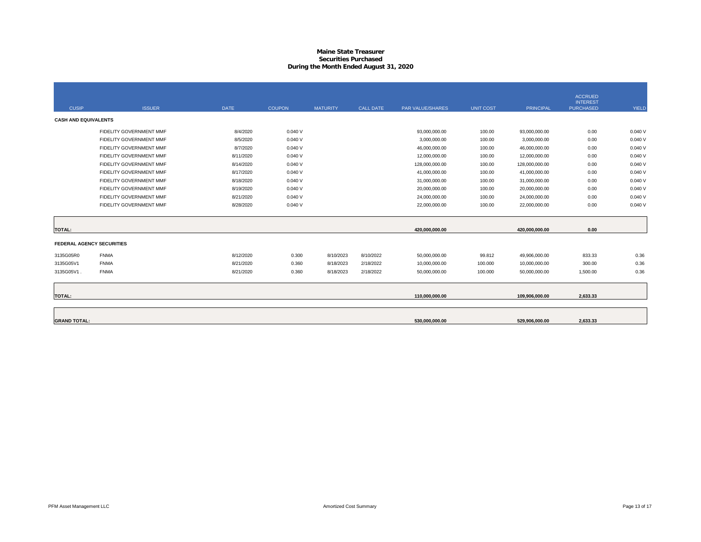# **Maine State Treasurer Securities PurchasedDuring the Month Ended August 31, 2020**

|                                  |                         |             |               |                 |                  |                         |                  |                  | <b>ACCRUED</b><br><b>INTEREST</b> |              |
|----------------------------------|-------------------------|-------------|---------------|-----------------|------------------|-------------------------|------------------|------------------|-----------------------------------|--------------|
| <b>CUSIP</b>                     | <b>ISSUER</b>           | <b>DATE</b> | <b>COUPON</b> | <b>MATURITY</b> | <b>CALL DATE</b> | <b>PAR VALUE/SHARES</b> | <b>UNIT COST</b> | <b>PRINCIPAL</b> | <b>PURCHASED</b>                  | <b>YIELD</b> |
| <b>CASH AND EQUIVALENTS</b>      |                         |             |               |                 |                  |                         |                  |                  |                                   |              |
|                                  | FIDELITY GOVERNMENT MMF | 8/4/2020    | 0.040V        |                 |                  | 93,000,000.00           | 100.00           | 93,000,000.00    | 0.00                              | 0.040V       |
|                                  | FIDELITY GOVERNMENT MMF | 8/5/2020    | 0.040V        |                 |                  | 3,000,000.00            | 100.00           | 3,000,000.00     | 0.00                              | 0.040V       |
|                                  | FIDELITY GOVERNMENT MMF | 8/7/2020    | 0.040V        |                 |                  | 46,000,000.00           | 100.00           | 46,000,000.00    | 0.00                              | 0.040V       |
|                                  | FIDELITY GOVERNMENT MMF | 8/11/2020   | 0.040V        |                 |                  | 12,000,000.00           | 100.00           | 12,000,000.00    | 0.00                              | 0.040V       |
|                                  | FIDELITY GOVERNMENT MMF | 8/14/2020   | 0.040V        |                 |                  | 128,000,000.00          | 100.00           | 128,000,000.00   | 0.00                              | 0.040V       |
|                                  | FIDELITY GOVERNMENT MMF | 8/17/2020   | 0.040V        |                 |                  | 41,000,000.00           | 100.00           | 41,000,000.00    | 0.00                              | 0.040V       |
|                                  | FIDELITY GOVERNMENT MMF | 8/18/2020   | 0.040V        |                 |                  | 31,000,000.00           | 100.00           | 31,000,000.00    | 0.00                              | 0.040V       |
|                                  | FIDELITY GOVERNMENT MMF | 8/19/2020   | 0.040V        |                 |                  | 20,000,000.00           | 100.00           | 20,000,000.00    | 0.00                              | 0.040V       |
|                                  | FIDELITY GOVERNMENT MMF | 8/21/2020   | 0.040V        |                 |                  | 24,000,000.00           | 100.00           | 24,000,000.00    | 0.00                              | 0.040V       |
|                                  | FIDELITY GOVERNMENT MMF | 8/28/2020   | 0.040V        |                 |                  | 22,000,000.00           | 100.00           | 22,000,000.00    | 0.00                              | 0.040V       |
|                                  |                         |             |               |                 |                  |                         |                  |                  |                                   |              |
| <b>TOTAL:</b>                    |                         |             |               |                 |                  | 420,000,000.00          |                  | 420,000,000.00   | 0.00                              |              |
| <b>FEDERAL AGENCY SECURITIES</b> |                         |             |               |                 |                  |                         |                  |                  |                                   |              |
| 3135G05R0                        | <b>FNMA</b>             | 8/12/2020   | 0.300         | 8/10/2023       | 8/10/2022        | 50,000,000.00           | 99.812           | 49,906,000.00    | 833.33                            | 0.36         |
| 3135G05V1                        | <b>FNMA</b>             | 8/21/2020   | 0.360         | 8/18/2023       | 2/18/2022        | 10,000,000.00           | 100.000          | 10,000,000.00    | 300.00                            | 0.36         |
| 3135G05V1.                       | <b>FNMA</b>             | 8/21/2020   | 0.360         | 8/18/2023       | 2/18/2022        | 50,000,000.00           | 100.000          | 50,000,000.00    | 1,500.00                          | 0.36         |
|                                  |                         |             |               |                 |                  |                         |                  |                  |                                   |              |
| <b>TOTAL:</b>                    |                         |             |               |                 |                  | 110,000,000.00          |                  | 109,906,000.00   | 2,633.33                          |              |
|                                  |                         |             |               |                 |                  |                         |                  |                  |                                   |              |
| <b>GRAND TOTAL:</b>              |                         |             |               |                 |                  | 530,000,000.00          |                  | 529,906,000.00   | 2,633.33                          |              |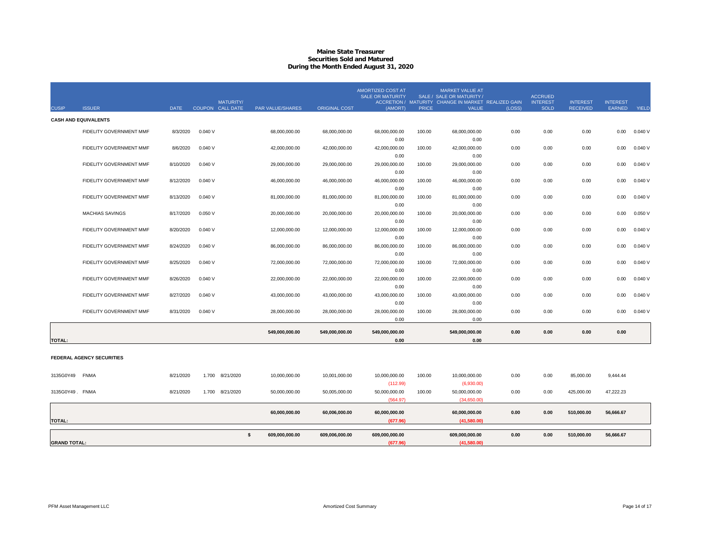# **Maine State Treasurer Securities Sold and MaturedDuring the Month Ended August 31, 2020**

|                     |                                |             |        |                                      |                  |                      | <b>AMORTIZED COST AT</b><br><b>SALE OR MATURITY</b> |              | <b>MARKET VALUE AT</b><br>SALE / SALE OR MATURITY                   |        | <b>ACCRUED</b>                 |                                    |                                  |        |
|---------------------|--------------------------------|-------------|--------|--------------------------------------|------------------|----------------------|-----------------------------------------------------|--------------|---------------------------------------------------------------------|--------|--------------------------------|------------------------------------|----------------------------------|--------|
| <b>CUSIP</b>        | <b>ISSUER</b>                  | <b>DATE</b> |        | <b>MATURITY/</b><br>COUPON CALL DATE | PAR VALUE/SHARES | <b>ORIGINAL COST</b> | (AMORT)                                             | <b>PRICE</b> | ACCRETION / MATURITY CHANGE IN MARKET REALIZED GAIN<br><b>VALUE</b> | (LOSS) | <b>INTEREST</b><br><b>SOLD</b> | <b>INTEREST</b><br><b>RECEIVED</b> | <b>INTEREST</b><br><b>EARNED</b> | YIELD  |
|                     | <b>CASH AND EQUIVALENTS</b>    |             |        |                                      |                  |                      |                                                     |              |                                                                     |        |                                |                                    |                                  |        |
|                     | FIDELITY GOVERNMENT MMF        | 8/3/2020    | 0.040V |                                      | 68,000,000.00    | 68,000,000.00        | 68,000,000.00                                       | 100.00       | 68,000,000.00                                                       | 0.00   | 0.00                           | 0.00                               | 0.00                             | 0.040V |
|                     |                                |             |        |                                      |                  |                      | 0.00                                                |              | 0.00                                                                |        |                                |                                    |                                  |        |
|                     | <b>FIDELITY GOVERNMENT MMF</b> | 8/6/2020    | 0.040V |                                      | 42.000.000.00    | 42,000,000.00        | 42,000,000.00                                       | 100.00       | 42,000,000.00                                                       | 0.00   | 0.00                           | 0.00                               | 0.00                             | 0.040V |
|                     |                                |             |        |                                      |                  |                      | 0.00                                                |              | 0.00                                                                |        |                                |                                    |                                  |        |
|                     | FIDELITY GOVERNMENT MMF        | 8/10/2020   | 0.040V |                                      | 29,000,000.00    | 29,000,000.00        | 29,000,000.00                                       | 100.00       | 29,000,000.00                                                       | 0.00   | 0.00                           | 0.00                               | 0.00                             | 0.040V |
|                     |                                |             |        |                                      |                  |                      | 0.00                                                |              | 0.00                                                                |        |                                |                                    |                                  |        |
|                     | <b>FIDELITY GOVERNMENT MMF</b> | 8/12/2020   | 0.040V |                                      | 46.000.000.00    | 46,000,000.00        | 46,000,000.00                                       | 100.00       | 46,000,000.00                                                       | 0.00   | 0.00                           | 0.00                               | 0.00                             | 0.040V |
|                     |                                |             |        |                                      |                  |                      | 0.00                                                |              | 0.00                                                                |        |                                |                                    |                                  |        |
|                     | FIDELITY GOVERNMENT MMF        | 8/13/2020   | 0.040V |                                      | 81,000,000.00    | 81,000,000.00        | 81,000,000.00                                       | 100.00       | 81,000,000.00                                                       | 0.00   | 0.00                           | 0.00                               | 0.00                             | 0.040V |
|                     |                                |             |        |                                      |                  |                      | 0.00                                                |              | 0.00                                                                |        |                                |                                    |                                  |        |
|                     | <b>MACHIAS SAVINGS</b>         | 8/17/2020   | 0.050V |                                      | 20,000,000.00    | 20,000,000.00        | 20,000,000.00                                       | 100.00       | 20,000,000.00                                                       | 0.00   | 0.00                           | 0.00                               | 0.00                             | 0.050V |
|                     |                                |             |        |                                      |                  |                      | 0.00                                                |              | 0.00                                                                |        |                                |                                    |                                  |        |
|                     | FIDELITY GOVERNMENT MMF        | 8/20/2020   | 0.040V |                                      | 12,000,000.00    | 12,000,000.00        | 12,000,000.00                                       | 100.00       | 12,000,000.00                                                       | 0.00   | 0.00                           | 0.00                               | 0.00                             | 0.040V |
|                     |                                |             |        |                                      |                  |                      | 0.00                                                |              | 0.00                                                                |        |                                |                                    |                                  |        |
|                     | FIDELITY GOVERNMENT MMF        | 8/24/2020   | 0.040V |                                      | 86,000,000.00    | 86,000,000.00        | 86,000,000.00                                       | 100.00       | 86,000,000.00                                                       | 0.00   | 0.00                           | 0.00                               | 0.00                             | 0.040V |
|                     |                                |             |        |                                      |                  |                      | 0.00                                                |              | 0.00                                                                |        |                                |                                    |                                  |        |
|                     | <b>FIDELITY GOVERNMENT MMF</b> | 8/25/2020   | 0.040V |                                      | 72,000,000.00    | 72,000,000.00        | 72,000,000.00                                       | 100.00       | 72,000,000.00                                                       | 0.00   | 0.00                           | 0.00                               | 0.00                             | 0.040V |
|                     |                                |             |        |                                      |                  |                      | 0.00                                                |              | 0.00                                                                |        |                                |                                    |                                  |        |
|                     | FIDELITY GOVERNMENT MMF        | 8/26/2020   | 0.040V |                                      | 22,000,000.00    | 22,000,000.00        | 22,000,000.00                                       | 100.00       | 22,000,000.00                                                       | 0.00   | 0.00                           | 0.00                               | 0.00                             | 0.040V |
|                     |                                |             |        |                                      |                  |                      | 0.00                                                |              | 0.00                                                                |        |                                |                                    |                                  |        |
|                     | FIDELITY GOVERNMENT MMF        | 8/27/2020   | 0.040V |                                      | 43,000,000.00    | 43,000,000.00        | 43,000,000.00                                       | 100.00       | 43,000,000.00                                                       | 0.00   | 0.00                           | 0.00                               | 0.00                             | 0.040V |
|                     |                                |             |        |                                      |                  |                      | 0.00                                                |              | 0.00                                                                |        |                                |                                    |                                  |        |
|                     | FIDELITY GOVERNMENT MMF        | 8/31/2020   | 0.040V |                                      | 28,000,000.00    | 28,000,000.00        | 28,000,000.00                                       | 100.00       | 28,000,000.00                                                       | 0.00   | 0.00                           | 0.00                               | 0.00                             | 0.040V |
|                     |                                |             |        |                                      |                  |                      | 0.00                                                |              | 0.00                                                                |        |                                |                                    |                                  |        |
|                     |                                |             |        |                                      | 549,000,000.00   | 549,000,000.00       | 549,000,000.00                                      |              | 549,000,000.00                                                      | 0.00   | 0.00                           | 0.00                               | 0.00                             |        |
| <b>TOTAL:</b>       |                                |             |        |                                      |                  |                      | 0.00                                                |              | 0.00                                                                |        |                                |                                    |                                  |        |
|                     |                                |             |        |                                      |                  |                      |                                                     |              |                                                                     |        |                                |                                    |                                  |        |
|                     | FEDERAL AGENCY SECURITIES      |             |        |                                      |                  |                      |                                                     |              |                                                                     |        |                                |                                    |                                  |        |
| 3135G0Y49           | <b>FNMA</b>                    | 8/21/2020   | 1.700  | 8/21/2020                            | 10,000,000.00    | 10,001,000.00        | 10,000,000.00                                       | 100.00       | 10,000,000.00                                                       | 0.00   | 0.00                           | 85,000.00                          | 9,444.44                         |        |
|                     |                                |             |        |                                      |                  |                      |                                                     |              |                                                                     |        |                                |                                    |                                  |        |
| 3135G0Y49. FNMA     |                                | 8/21/2020   |        | 1.700 8/21/2020                      | 50,000,000.00    | 50,005,000.00        | (112.99)<br>50,000,000.00                           | 100.00       | (6,930.00)<br>50,000,000.00                                         | 0.00   | 0.00                           | 425,000.00                         | 47,222.23                        |        |
|                     |                                |             |        |                                      |                  |                      | (564.97)                                            |              | (34,650.00)                                                         |        |                                |                                    |                                  |        |
|                     |                                |             |        |                                      |                  |                      |                                                     |              |                                                                     |        |                                |                                    |                                  |        |
|                     |                                |             |        |                                      | 60,000,000.00    | 60,006,000.00        | 60,000,000.00                                       |              | 60,000,000.00                                                       | 0.00   | 0.00                           | 510,000.00                         | 56,666.67                        |        |
| <b>TOTAL:</b>       |                                |             |        |                                      |                  |                      | (677.96)                                            |              | (41,580.00)                                                         |        |                                |                                    |                                  |        |
|                     |                                |             |        | \$                                   |                  |                      |                                                     |              |                                                                     | 0.00   | 0.00                           | 510,000.00                         | 56,666.67                        |        |
| <b>GRAND TOTAL:</b> |                                |             |        |                                      | 609,000,000.00   | 609,006,000.00       | 609,000,000.00                                      |              | 609,000,000.00<br>(41,580.00)                                       |        |                                |                                    |                                  |        |
|                     |                                |             |        |                                      |                  |                      | (677.96)                                            |              |                                                                     |        |                                |                                    |                                  |        |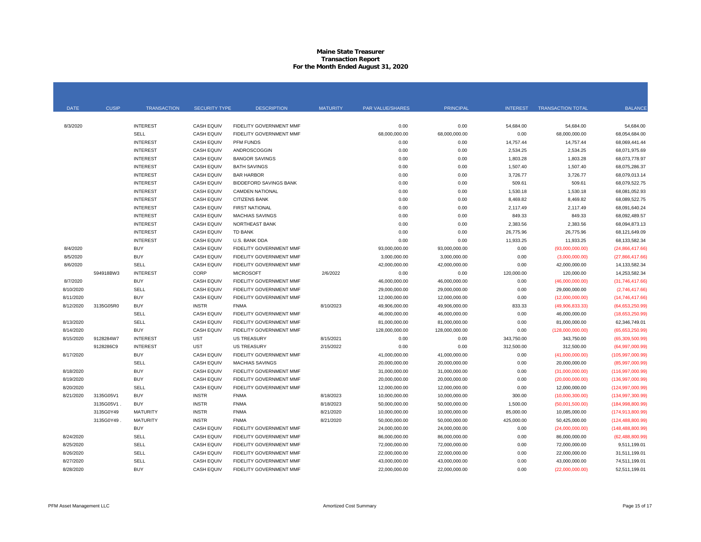#### **Maine State Treasurer Transaction Report For the Month Ended August 31, 2020**

| <b>DATE</b> | <b>CUSIP</b> | <b>TRANSACTION</b> | <b>SECURITY TYPE</b> | <b>DESCRIPTION</b>             | <b>MATURITY</b> | PAR VALUE/SHARES | <b>PRINCIPAL</b> | <b>INTEREST</b> | <b>TRANSACTION TOTAL</b> | <b>BALANCE</b>     |
|-------------|--------------|--------------------|----------------------|--------------------------------|-----------------|------------------|------------------|-----------------|--------------------------|--------------------|
|             |              |                    |                      |                                |                 |                  |                  |                 |                          |                    |
| 8/3/2020    |              | <b>INTEREST</b>    | <b>CASH EQUIV</b>    | FIDELITY GOVERNMENT MMF        |                 | 0.00             | 0.00             | 54,684.00       | 54,684.00                | 54,684.00          |
|             |              | <b>SELL</b>        | <b>CASH EQUIV</b>    | FIDELITY GOVERNMENT MMF        |                 | 68,000,000.00    | 68,000,000.00    | 0.00            | 68,000,000.00            | 68,054,684.00      |
|             |              | <b>INTEREST</b>    | <b>CASH EQUIV</b>    | PFM FUNDS                      |                 | 0.00             | 0.00             | 14,757.44       | 14,757.44                | 68,069,441.44      |
|             |              | <b>INTEREST</b>    | <b>CASH EQUIV</b>    | ANDROSCOGGIN                   |                 | 0.00             | 0.00             | 2,534.25        | 2,534.25                 | 68,071,975.69      |
|             |              | <b>INTEREST</b>    | <b>CASH EQUIV</b>    | <b>BANGOR SAVINGS</b>          |                 | 0.00             | 0.00             | 1,803.28        | 1,803.28                 | 68,073,778.97      |
|             |              | <b>INTEREST</b>    | <b>CASH EQUIV</b>    | <b>BATH SAVINGS</b>            |                 | 0.00             | 0.00             | 1,507.40        | 1,507.40                 | 68,075,286.37      |
|             |              | <b>INTEREST</b>    | <b>CASH EQUIV</b>    | <b>BAR HARBOR</b>              |                 | 0.00             | 0.00             | 3,726.77        | 3,726.77                 | 68,079,013.14      |
|             |              | <b>INTEREST</b>    | <b>CASH EQUIV</b>    | <b>BIDDEFORD SAVINGS BANK</b>  |                 | 0.00             | 0.00             | 509.61          | 509.61                   | 68,079,522.75      |
|             |              | <b>INTEREST</b>    | <b>CASH EQUIV</b>    | <b>CAMDEN NATIONAL</b>         |                 | 0.00             | 0.00             | 1,530.18        | 1,530.18                 | 68,081,052.93      |
|             |              | <b>INTEREST</b>    | <b>CASH EQUIV</b>    | <b>CITIZENS BANK</b>           |                 | 0.00             | 0.00             | 8,469.82        | 8,469.82                 | 68,089,522.75      |
|             |              | <b>INTEREST</b>    | <b>CASH EQUIV</b>    | <b>FIRST NATIONAL</b>          |                 | 0.00             | 0.00             | 2,117.49        | 2,117.49                 | 68,091,640.24      |
|             |              | <b>INTEREST</b>    | <b>CASH EQUIV</b>    | <b>MACHIAS SAVINGS</b>         |                 | 0.00             | 0.00             | 849.33          | 849.33                   | 68,092,489.57      |
|             |              | <b>INTEREST</b>    | <b>CASH EQUIV</b>    | NORTHEAST BANK                 |                 | 0.00             | 0.00             | 2,383.56        | 2,383.56                 | 68,094,873.13      |
|             |              | <b>INTEREST</b>    | <b>CASH EQUIV</b>    | TD BANK                        |                 | 0.00             | 0.00             | 26,775.96       | 26,775.96                | 68,121,649.09      |
|             |              | <b>INTEREST</b>    | <b>CASH EQUIV</b>    | U.S. BANK DDA                  |                 | 0.00             | 0.00             | 11,933.25       | 11,933.25                | 68,133,582.34      |
| 8/4/2020    |              | <b>BUY</b>         | <b>CASH EQUIV</b>    | FIDELITY GOVERNMENT MMF        |                 | 93,000,000.00    | 93,000,000.00    | 0.00            | (93,000,000.00)          | (24,866,417.66)    |
| 8/5/2020    |              | <b>BUY</b>         | <b>CASH EQUIV</b>    | <b>FIDELITY GOVERNMENT MMF</b> |                 | 3,000,000.00     | 3,000,000.00     | 0.00            | (3,000,000.00)           | (27,866,417.66)    |
| 8/6/2020    |              | SELL               | <b>CASH EQUIV</b>    | FIDELITY GOVERNMENT MMF        |                 | 42,000,000.00    | 42,000,000.00    | 0.00            | 42,000,000.00            | 14, 133, 582. 34   |
|             | 594918BW3    | <b>INTEREST</b>    | CORP                 | <b>MICROSOFT</b>               | 2/6/2022        | 0.00             | 0.00             | 120,000.00      | 120,000.00               | 14,253,582.34      |
| 8/7/2020    |              | <b>BUY</b>         | <b>CASH EQUIV</b>    | FIDELITY GOVERNMENT MMF        |                 | 46,000,000.00    | 46,000,000.00    | 0.00            | (46,000,000.00)          | (31,746,417.66)    |
| 8/10/2020   |              | SELL               | <b>CASH EQUIV</b>    | FIDELITY GOVERNMENT MMF        |                 | 29,000,000.00    | 29,000,000.00    | 0.00            | 29,000,000.00            | (2,746,417.66)     |
| 8/11/2020   |              | <b>BUY</b>         | <b>CASH EQUIV</b>    | FIDELITY GOVERNMENT MMF        |                 | 12,000,000.00    | 12,000,000.00    | 0.00            | (12,000,000.00)          | (14,746,417.66)    |
| 8/12/2020   | 3135G05R0    | <b>BUY</b>         | <b>INSTR</b>         | <b>FNMA</b>                    | 8/10/2023       | 49,906,000.00    | 49,906,000.00    | 833.33          | (49,906,833.33)          | (64,653,250.99)    |
|             |              | SELL               | <b>CASH EQUIV</b>    | FIDELITY GOVERNMENT MMF        |                 | 46,000,000.00    | 46,000,000.00    | 0.00            | 46,000,000.00            | (18,653,250.99)    |
| 8/13/2020   |              | SELL               | <b>CASH EQUIV</b>    | FIDELITY GOVERNMENT MMF        |                 | 81,000,000.00    | 81,000,000.00    | 0.00            | 81,000,000.00            | 62,346,749.01      |
| 8/14/2020   |              | <b>BUY</b>         | <b>CASH EQUIV</b>    | FIDELITY GOVERNMENT MMF        |                 | 128,000,000.00   | 128,000,000.00   | 0.00            | (128,000,000.00)         | (65,653,250.99)    |
| 8/15/2020   | 9128284W7    | <b>INTEREST</b>    | <b>UST</b>           | <b>US TREASURY</b>             | 8/15/2021       | 0.00             | 0.00             | 343,750.00      | 343,750.00               | (65,309,500.99)    |
|             | 9128286C9    | <b>INTEREST</b>    | <b>UST</b>           | <b>US TREASURY</b>             | 2/15/2022       | 0.00             | 0.00             | 312,500.00      | 312,500.00               | (64,997,000.99)    |
| 8/17/2020   |              | <b>BUY</b>         | <b>CASH EQUIV</b>    | FIDELITY GOVERNMENT MMF        |                 | 41,000,000.00    | 41,000,000.00    | 0.00            | (41,000,000.00)          | (105, 997, 000.99) |
|             |              | <b>SELL</b>        | <b>CASH EQUIV</b>    | <b>MACHIAS SAVINGS</b>         |                 | 20,000,000.00    | 20,000,000.00    | 0.00            | 20,000,000.00            | (85,997,000.99)    |
| 8/18/2020   |              | <b>BUY</b>         | <b>CASH EQUIV</b>    | FIDELITY GOVERNMENT MMF        |                 | 31,000,000.00    | 31,000,000.00    | 0.00            | (31,000,000.00)          | (116,997,000.99)   |
| 8/19/2020   |              | <b>BUY</b>         | <b>CASH EQUIV</b>    | FIDELITY GOVERNMENT MMF        |                 | 20,000,000.00    | 20,000,000.00    | 0.00            | (20,000,000.00)          | (136,997,000.99)   |
| 8/20/2020   |              | <b>SELL</b>        | <b>CASH EQUIV</b>    | FIDELITY GOVERNMENT MMF        |                 | 12,000,000.00    | 12,000,000.00    | 0.00            | 12,000,000.00            | (124, 997, 000.99) |
| 8/21/2020   | 3135G05V1    | <b>BUY</b>         | <b>INSTR</b>         | <b>FNMA</b>                    | 8/18/2023       | 10,000,000.00    | 10,000,000.00    | 300.00          | (10,000,300.00)          | (134, 997, 300.99) |
|             | 3135G05V1.   | <b>BUY</b>         | <b>INSTR</b>         | <b>FNMA</b>                    | 8/18/2023       | 50,000,000.00    | 50,000,000.00    | 1,500.00        | (50,001,500.00)          | (184,998,800.99)   |
|             | 3135G0Y49    | <b>MATURITY</b>    | <b>INSTR</b>         | <b>FNMA</b>                    | 8/21/2020       | 10,000,000.00    | 10,000,000.00    | 85,000.00       | 10,085,000.00            | (174, 913, 800.99) |
|             | 3135G0Y49    | <b>MATURITY</b>    | <b>INSTR</b>         | <b>FNMA</b>                    | 8/21/2020       | 50,000,000.00    | 50,000,000.00    | 425,000.00      | 50,425,000.00            | (124, 488, 800.99) |
|             |              | <b>BUY</b>         | <b>CASH EQUIV</b>    | FIDELITY GOVERNMENT MMF        |                 | 24,000,000.00    | 24,000,000.00    | 0.00            | (24,000,000.00)          | (148, 488, 800.99) |
| 8/24/2020   |              | <b>SELL</b>        | <b>CASH EQUIV</b>    | FIDELITY GOVERNMENT MMF        |                 | 86,000,000.00    | 86,000,000.00    | 0.00            | 86,000,000.00            | (62, 488, 800.99)  |
| 8/25/2020   |              | <b>SELL</b>        | <b>CASH EQUIV</b>    | FIDELITY GOVERNMENT MMF        |                 | 72,000,000.00    | 72,000,000.00    | 0.00            | 72,000,000.00            | 9,511,199.01       |
| 8/26/2020   |              | <b>SELL</b>        | <b>CASH EQUIV</b>    | FIDELITY GOVERNMENT MMF        |                 | 22,000,000.00    | 22,000,000.00    | 0.00            | 22,000,000.00            | 31,511,199.01      |
| 8/27/2020   |              | <b>SELL</b>        | <b>CASH EQUIV</b>    | FIDELITY GOVERNMENT MMF        |                 | 43,000,000.00    | 43,000,000.00    | 0.00            | 43,000,000.00            | 74,511,199.01      |
| 8/28/2020   |              | <b>BUY</b>         | <b>CASH EQUIV</b>    | FIDELITY GOVERNMENT MMF        |                 | 22,000,000.00    | 22,000,000.00    | 0.00            | (22,000,000.00)          | 52,511,199.01      |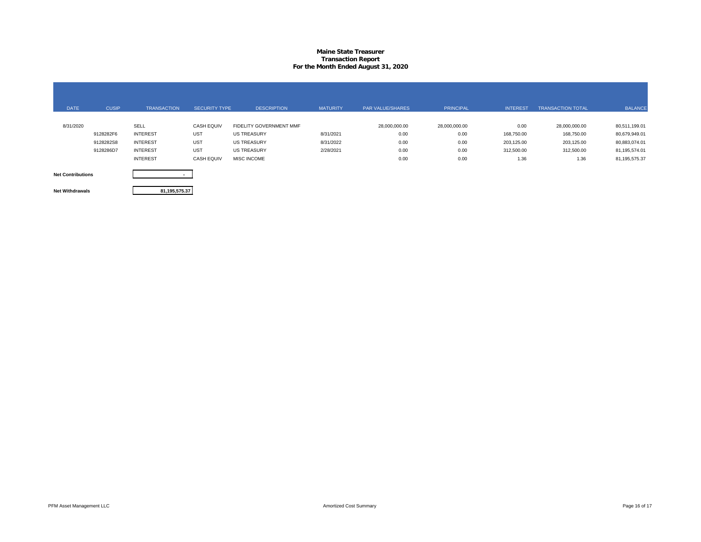### **Maine State Treasurer Transaction Report For the Month Ended August 31, 2020**

| <b>DATE</b>              | <b>CUSIP</b> | <b>TRANSACTION</b> | <b>SECURITY TYPE</b> | <b>DESCRIPTION</b>      | <b>MATURITY</b> | <b>PAR VALUE/SHARES</b> | <b>PRINCIPAL</b> | <b>INTEREST</b> | <b>TRANSACTION TOTAL</b> | <b>BALANCE</b> |
|--------------------------|--------------|--------------------|----------------------|-------------------------|-----------------|-------------------------|------------------|-----------------|--------------------------|----------------|
| 8/31/2020                |              | SELL               | <b>CASH EQUIV</b>    | FIDELITY GOVERNMENT MMF |                 | 28,000,000.00           | 28,000,000.00    | 0.00            | 28,000,000.00            | 80,511,199.01  |
|                          | 9128282F6    | <b>INTEREST</b>    | <b>UST</b>           | <b>US TREASURY</b>      | 8/31/2021       | 0.00                    | 0.00             | 168,750.00      | 168,750.00               | 80,679,949.01  |
|                          | 9128282S8    | <b>INTEREST</b>    | <b>UST</b>           | <b>US TREASURY</b>      | 8/31/2022       | 0.00                    | 0.00             | 203,125.00      | 203,125.00               | 80,883,074.01  |
|                          | 9128286D7    | <b>INTEREST</b>    | <b>UST</b>           | <b>US TREASURY</b>      | 2/28/2021       | 0.00                    | 0.00             | 312,500.00      | 312,500.00               | 81,195,574.01  |
|                          |              | <b>INTEREST</b>    | <b>CASH EQUIV</b>    | <b>MISC INCOME</b>      |                 | 0.00                    | 0.00             | 1.36            | 1.36                     | 81,195,575.37  |
| <b>Net Contributions</b> |              |                    |                      |                         |                 |                         |                  |                 |                          |                |

**Net Withdrawals**

**81,195,575.37**